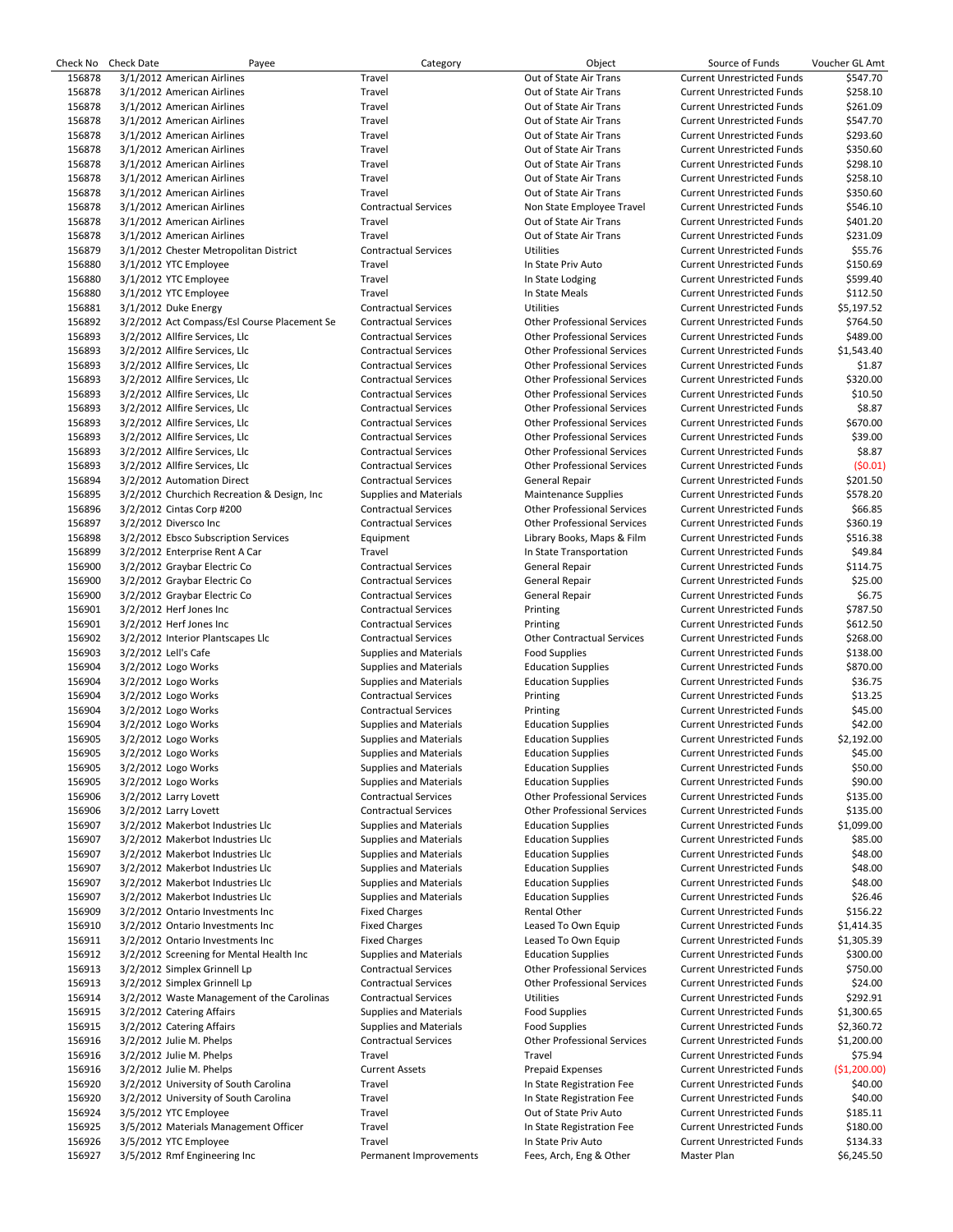|        | Check No Check Date  | Payee                                        | Category                      | Object                             | Source of Funds                   | Voucher GL Amt |
|--------|----------------------|----------------------------------------------|-------------------------------|------------------------------------|-----------------------------------|----------------|
| 156878 |                      | 3/1/2012 American Airlines                   | Travel                        | Out of State Air Trans             | <b>Current Unrestricted Funds</b> | \$547.70       |
| 156878 |                      | 3/1/2012 American Airlines                   | Travel                        | Out of State Air Trans             | <b>Current Unrestricted Funds</b> | \$258.10       |
| 156878 |                      | 3/1/2012 American Airlines                   | Travel                        | Out of State Air Trans             | <b>Current Unrestricted Funds</b> | \$261.09       |
| 156878 |                      | 3/1/2012 American Airlines                   | Travel                        | Out of State Air Trans             | <b>Current Unrestricted Funds</b> | \$547.70       |
| 156878 |                      | 3/1/2012 American Airlines                   | Travel                        | Out of State Air Trans             | <b>Current Unrestricted Funds</b> | \$293.60       |
| 156878 |                      | 3/1/2012 American Airlines                   | Travel                        | Out of State Air Trans             | <b>Current Unrestricted Funds</b> | \$350.60       |
| 156878 |                      | 3/1/2012 American Airlines                   | Travel                        | Out of State Air Trans             | <b>Current Unrestricted Funds</b> | \$298.10       |
| 156878 |                      | 3/1/2012 American Airlines                   | Travel                        | Out of State Air Trans             | <b>Current Unrestricted Funds</b> | \$258.10       |
| 156878 |                      | 3/1/2012 American Airlines                   | Travel                        | Out of State Air Trans             | <b>Current Unrestricted Funds</b> | \$350.60       |
| 156878 |                      | 3/1/2012 American Airlines                   | <b>Contractual Services</b>   | Non State Employee Travel          | <b>Current Unrestricted Funds</b> | \$546.10       |
| 156878 |                      | 3/1/2012 American Airlines                   | Travel                        | Out of State Air Trans             | <b>Current Unrestricted Funds</b> | \$401.20       |
| 156878 |                      | 3/1/2012 American Airlines                   | Travel                        | Out of State Air Trans             | <b>Current Unrestricted Funds</b> | \$231.09       |
| 156879 |                      | 3/1/2012 Chester Metropolitan District       | <b>Contractual Services</b>   | <b>Utilities</b>                   | <b>Current Unrestricted Funds</b> | \$55.76        |
| 156880 |                      | 3/1/2012 YTC Employee                        | Travel                        | In State Priv Auto                 | <b>Current Unrestricted Funds</b> | \$150.69       |
| 156880 |                      | 3/1/2012 YTC Employee                        | Travel                        | In State Lodging                   | <b>Current Unrestricted Funds</b> | \$599.40       |
| 156880 |                      | 3/1/2012 YTC Employee                        | Travel                        | In State Meals                     | <b>Current Unrestricted Funds</b> | \$112.50       |
| 156881 |                      | 3/1/2012 Duke Energy                         | <b>Contractual Services</b>   | <b>Utilities</b>                   | <b>Current Unrestricted Funds</b> | \$5,197.52     |
| 156892 |                      | 3/2/2012 Act Compass/Esl Course Placement Se | <b>Contractual Services</b>   | <b>Other Professional Services</b> | <b>Current Unrestricted Funds</b> | \$764.50       |
| 156893 |                      | 3/2/2012 Allfire Services, Llc               | <b>Contractual Services</b>   | <b>Other Professional Services</b> | <b>Current Unrestricted Funds</b> | \$489.00       |
| 156893 |                      | 3/2/2012 Allfire Services, Llc               | <b>Contractual Services</b>   | <b>Other Professional Services</b> | <b>Current Unrestricted Funds</b> | \$1,543.40     |
| 156893 |                      | 3/2/2012 Allfire Services, Llc               | <b>Contractual Services</b>   | <b>Other Professional Services</b> | <b>Current Unrestricted Funds</b> | \$1.87         |
| 156893 |                      | 3/2/2012 Allfire Services, Llc               | <b>Contractual Services</b>   | <b>Other Professional Services</b> | <b>Current Unrestricted Funds</b> | \$320.00       |
|        |                      |                                              |                               |                                    |                                   |                |
| 156893 |                      | 3/2/2012 Allfire Services, Llc               | <b>Contractual Services</b>   | <b>Other Professional Services</b> | <b>Current Unrestricted Funds</b> | \$10.50        |
| 156893 |                      | 3/2/2012 Allfire Services, Llc               | <b>Contractual Services</b>   | <b>Other Professional Services</b> | <b>Current Unrestricted Funds</b> | \$8.87         |
| 156893 |                      | 3/2/2012 Allfire Services, Llc               | <b>Contractual Services</b>   | <b>Other Professional Services</b> | <b>Current Unrestricted Funds</b> | \$670.00       |
| 156893 |                      | 3/2/2012 Allfire Services, Llc               | <b>Contractual Services</b>   | <b>Other Professional Services</b> | <b>Current Unrestricted Funds</b> | \$39.00        |
| 156893 |                      | 3/2/2012 Allfire Services, Llc               | <b>Contractual Services</b>   | <b>Other Professional Services</b> | <b>Current Unrestricted Funds</b> | \$8.87         |
| 156893 |                      | 3/2/2012 Allfire Services, Llc               | <b>Contractual Services</b>   | <b>Other Professional Services</b> | <b>Current Unrestricted Funds</b> | (50.01)        |
| 156894 |                      | 3/2/2012 Automation Direct                   | <b>Contractual Services</b>   | <b>General Repair</b>              | <b>Current Unrestricted Funds</b> | \$201.50       |
| 156895 |                      | 3/2/2012 Churchich Recreation & Design, Inc. | <b>Supplies and Materials</b> | <b>Maintenance Supplies</b>        | <b>Current Unrestricted Funds</b> | \$578.20       |
| 156896 |                      | 3/2/2012 Cintas Corp #200                    | <b>Contractual Services</b>   | <b>Other Professional Services</b> | <b>Current Unrestricted Funds</b> | \$66.85        |
| 156897 |                      | 3/2/2012 Diversco Inc                        | <b>Contractual Services</b>   | <b>Other Professional Services</b> | <b>Current Unrestricted Funds</b> | \$360.19       |
| 156898 |                      | 3/2/2012 Ebsco Subscription Services         | Equipment                     | Library Books, Maps & Film         | <b>Current Unrestricted Funds</b> | \$516.38       |
| 156899 |                      | 3/2/2012 Enterprise Rent A Car               | Travel                        | In State Transportation            | <b>Current Unrestricted Funds</b> | \$49.84        |
| 156900 |                      | 3/2/2012 Graybar Electric Co                 | <b>Contractual Services</b>   | General Repair                     | <b>Current Unrestricted Funds</b> | \$114.75       |
| 156900 |                      | 3/2/2012 Graybar Electric Co                 | <b>Contractual Services</b>   | General Repair                     | <b>Current Unrestricted Funds</b> | \$25.00        |
| 156900 |                      | 3/2/2012 Graybar Electric Co                 | <b>Contractual Services</b>   | General Repair                     | <b>Current Unrestricted Funds</b> | \$6.75         |
| 156901 |                      | 3/2/2012 Herf Jones Inc                      | <b>Contractual Services</b>   | Printing                           | <b>Current Unrestricted Funds</b> | \$787.50       |
| 156901 |                      | 3/2/2012 Herf Jones Inc                      | <b>Contractual Services</b>   | Printing                           | <b>Current Unrestricted Funds</b> | \$612.50       |
|        |                      |                                              |                               |                                    |                                   |                |
| 156902 |                      | 3/2/2012 Interior Plantscapes Llc            | <b>Contractual Services</b>   | <b>Other Contractual Services</b>  | <b>Current Unrestricted Funds</b> | \$268.00       |
| 156903 | 3/2/2012 Lell's Cafe |                                              | Supplies and Materials        | <b>Food Supplies</b>               | <b>Current Unrestricted Funds</b> | \$138.00       |
| 156904 |                      | 3/2/2012 Logo Works                          | <b>Supplies and Materials</b> | <b>Education Supplies</b>          | <b>Current Unrestricted Funds</b> | \$870.00       |
| 156904 |                      | 3/2/2012 Logo Works                          | <b>Supplies and Materials</b> | <b>Education Supplies</b>          | <b>Current Unrestricted Funds</b> | \$36.75        |
| 156904 |                      | 3/2/2012 Logo Works                          | <b>Contractual Services</b>   | Printing                           | <b>Current Unrestricted Funds</b> | \$13.25        |
| 156904 |                      | 3/2/2012 Logo Works                          | <b>Contractual Services</b>   | Printing                           | <b>Current Unrestricted Funds</b> | \$45.00        |
| 156904 |                      | 3/2/2012 Logo Works                          | <b>Supplies and Materials</b> | <b>Education Supplies</b>          | <b>Current Unrestricted Funds</b> | \$42.00        |
| 156905 |                      | 3/2/2012 Logo Works                          | <b>Supplies and Materials</b> | <b>Education Supplies</b>          | <b>Current Unrestricted Funds</b> | \$2,192.00     |
| 156905 |                      | 3/2/2012 Logo Works                          | <b>Supplies and Materials</b> | <b>Education Supplies</b>          | <b>Current Unrestricted Funds</b> | \$45.00        |
| 156905 |                      | 3/2/2012 Logo Works                          | <b>Supplies and Materials</b> | <b>Education Supplies</b>          | <b>Current Unrestricted Funds</b> | \$50.00        |
| 156905 |                      | 3/2/2012 Logo Works                          | <b>Supplies and Materials</b> | <b>Education Supplies</b>          | <b>Current Unrestricted Funds</b> | \$90.00        |
| 156906 |                      | 3/2/2012 Larry Lovett                        | <b>Contractual Services</b>   | <b>Other Professional Services</b> | <b>Current Unrestricted Funds</b> | \$135.00       |
| 156906 |                      | 3/2/2012 Larry Lovett                        | <b>Contractual Services</b>   | <b>Other Professional Services</b> | <b>Current Unrestricted Funds</b> | \$135.00       |
| 156907 |                      | 3/2/2012 Makerbot Industries Llc             | <b>Supplies and Materials</b> | <b>Education Supplies</b>          | <b>Current Unrestricted Funds</b> | \$1,099.00     |
| 156907 |                      | 3/2/2012 Makerbot Industries Llc             | <b>Supplies and Materials</b> | <b>Education Supplies</b>          | <b>Current Unrestricted Funds</b> | \$85.00        |
| 156907 |                      | 3/2/2012 Makerbot Industries Llc             | <b>Supplies and Materials</b> | <b>Education Supplies</b>          | <b>Current Unrestricted Funds</b> | \$48.00        |
| 156907 |                      | 3/2/2012 Makerbot Industries Llc             | <b>Supplies and Materials</b> | <b>Education Supplies</b>          | <b>Current Unrestricted Funds</b> | \$48.00        |
| 156907 |                      | 3/2/2012 Makerbot Industries Llc             | <b>Supplies and Materials</b> | <b>Education Supplies</b>          | <b>Current Unrestricted Funds</b> | \$48.00        |
| 156907 |                      | 3/2/2012 Makerbot Industries Llc             | <b>Supplies and Materials</b> | <b>Education Supplies</b>          | <b>Current Unrestricted Funds</b> | \$26.46        |
| 156909 |                      | 3/2/2012 Ontario Investments Inc             | <b>Fixed Charges</b>          | Rental Other                       | <b>Current Unrestricted Funds</b> | \$156.22       |
| 156910 |                      | 3/2/2012 Ontario Investments Inc             | <b>Fixed Charges</b>          | Leased To Own Equip                | <b>Current Unrestricted Funds</b> | \$1,414.35     |
| 156911 |                      | 3/2/2012 Ontario Investments Inc             | <b>Fixed Charges</b>          | Leased To Own Equip                | <b>Current Unrestricted Funds</b> | \$1,305.39     |
|        |                      |                                              |                               |                                    |                                   |                |
| 156912 |                      | 3/2/2012 Screening for Mental Health Inc     | <b>Supplies and Materials</b> | <b>Education Supplies</b>          | <b>Current Unrestricted Funds</b> | \$300.00       |
| 156913 |                      | 3/2/2012 Simplex Grinnell Lp                 | <b>Contractual Services</b>   | <b>Other Professional Services</b> | <b>Current Unrestricted Funds</b> | \$750.00       |
| 156913 |                      | 3/2/2012 Simplex Grinnell Lp                 | <b>Contractual Services</b>   | <b>Other Professional Services</b> | <b>Current Unrestricted Funds</b> | \$24.00        |
| 156914 |                      | 3/2/2012 Waste Management of the Carolinas   | <b>Contractual Services</b>   | Utilities                          | <b>Current Unrestricted Funds</b> | \$292.91       |
| 156915 |                      | 3/2/2012 Catering Affairs                    | <b>Supplies and Materials</b> | <b>Food Supplies</b>               | <b>Current Unrestricted Funds</b> | \$1,300.65     |
| 156915 |                      | 3/2/2012 Catering Affairs                    | <b>Supplies and Materials</b> | <b>Food Supplies</b>               | <b>Current Unrestricted Funds</b> | \$2,360.72     |
| 156916 |                      | 3/2/2012 Julie M. Phelps                     | <b>Contractual Services</b>   | <b>Other Professional Services</b> | <b>Current Unrestricted Funds</b> | \$1,200.00     |
| 156916 |                      | 3/2/2012 Julie M. Phelps                     | Travel                        | Travel                             | <b>Current Unrestricted Funds</b> | \$75.94        |
| 156916 |                      | 3/2/2012 Julie M. Phelps                     | <b>Current Assets</b>         | <b>Prepaid Expenses</b>            | <b>Current Unrestricted Funds</b> | (\$1,200.00)   |
| 156920 |                      | 3/2/2012 University of South Carolina        | Travel                        | In State Registration Fee          | <b>Current Unrestricted Funds</b> | \$40.00        |
| 156920 |                      | 3/2/2012 University of South Carolina        | Travel                        | In State Registration Fee          | <b>Current Unrestricted Funds</b> | \$40.00        |
| 156924 |                      | 3/5/2012 YTC Employee                        | Travel                        | Out of State Priv Auto             | <b>Current Unrestricted Funds</b> | \$185.11       |
| 156925 |                      | 3/5/2012 Materials Management Officer        | Travel                        | In State Registration Fee          | <b>Current Unrestricted Funds</b> | \$180.00       |
| 156926 |                      | 3/5/2012 YTC Employee                        | Travel                        | In State Priv Auto                 | <b>Current Unrestricted Funds</b> | \$134.33       |
| 156927 |                      | 3/5/2012 Rmf Engineering Inc                 | Permanent Improvements        | Fees, Arch, Eng & Other            | Master Plan                       | \$6,245.50     |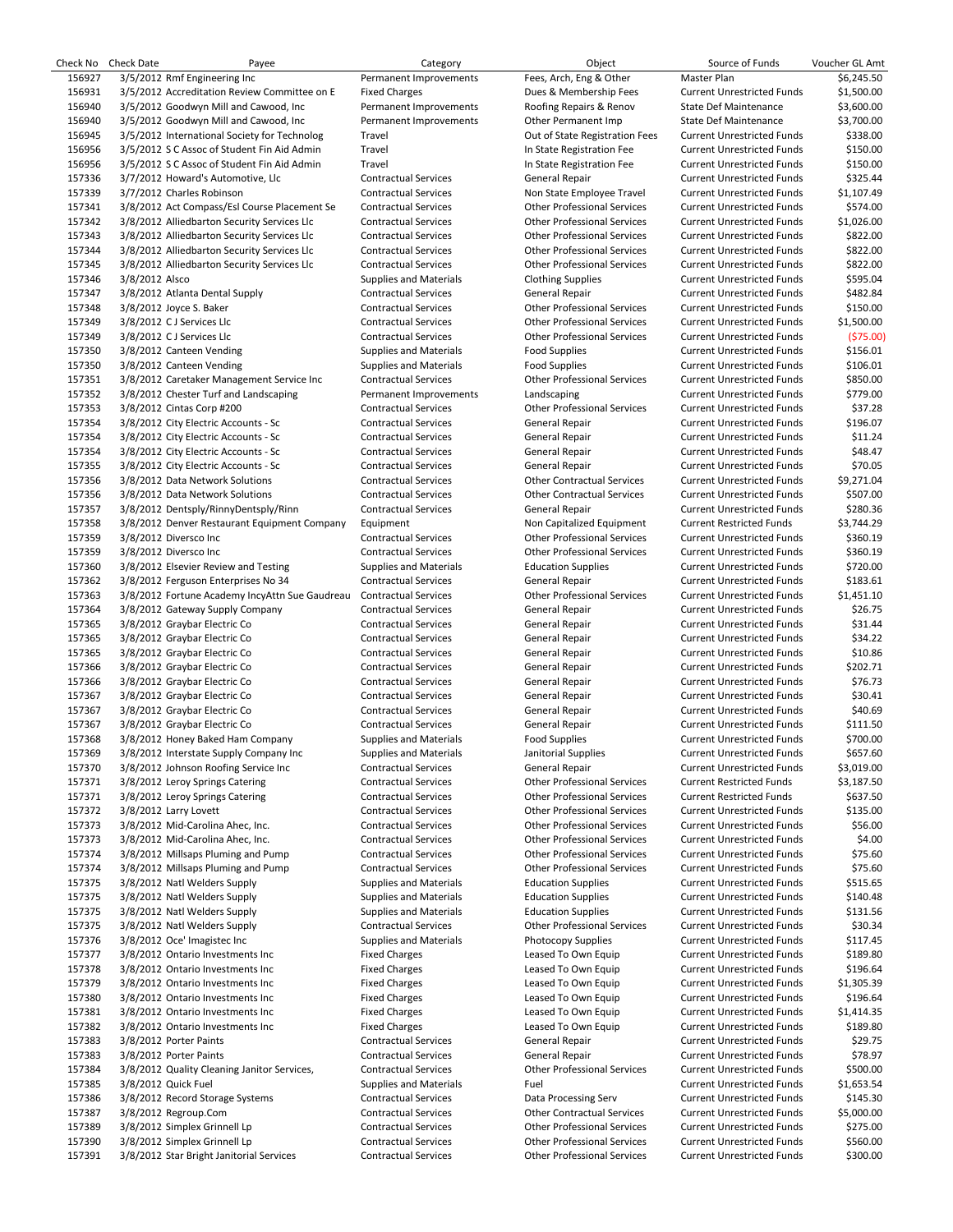| Check No | <b>Check Date</b> | Payee                                          | Category                      | Object                             | Source of Funds                                                        | Voucher GL Amt    |
|----------|-------------------|------------------------------------------------|-------------------------------|------------------------------------|------------------------------------------------------------------------|-------------------|
| 156927   |                   | 3/5/2012 Rmf Engineering Inc                   | Permanent Improvements        | Fees, Arch, Eng & Other            | Master Plan                                                            | \$6,245.50        |
| 156931   |                   | 3/5/2012 Accreditation Review Committee on E   | <b>Fixed Charges</b>          | Dues & Membership Fees             | <b>Current Unrestricted Funds</b>                                      | \$1,500.00        |
| 156940   |                   | 3/5/2012 Goodwyn Mill and Cawood, Inc.         | Permanent Improvements        | Roofing Repairs & Renov            | <b>State Def Maintenance</b>                                           | \$3,600.00        |
| 156940   |                   | 3/5/2012 Goodwyn Mill and Cawood, Inc          | Permanent Improvements        | Other Permanent Imp                | <b>State Def Maintenance</b>                                           | \$3,700.00        |
| 156945   |                   | 3/5/2012 International Society for Technolog   | Travel                        | Out of State Registration Fees     | <b>Current Unrestricted Funds</b>                                      | \$338.00          |
|          |                   |                                                |                               | In State Registration Fee          | <b>Current Unrestricted Funds</b>                                      | \$150.00          |
| 156956   |                   | 3/5/2012 S C Assoc of Student Fin Aid Admin    | Travel                        |                                    |                                                                        |                   |
| 156956   |                   | 3/5/2012 S C Assoc of Student Fin Aid Admin    | Travel                        | In State Registration Fee          | <b>Current Unrestricted Funds</b>                                      | \$150.00          |
| 157336   |                   | 3/7/2012 Howard's Automotive, Llc              | <b>Contractual Services</b>   | General Repair                     | <b>Current Unrestricted Funds</b>                                      | \$325.44          |
| 157339   |                   | 3/7/2012 Charles Robinson                      | <b>Contractual Services</b>   | Non State Employee Travel          | <b>Current Unrestricted Funds</b>                                      | \$1,107.49        |
| 157341   |                   | 3/8/2012 Act Compass/Esl Course Placement Se   | <b>Contractual Services</b>   | <b>Other Professional Services</b> | <b>Current Unrestricted Funds</b>                                      | \$574.00          |
| 157342   |                   | 3/8/2012 Alliedbarton Security Services Llc    | <b>Contractual Services</b>   | <b>Other Professional Services</b> | <b>Current Unrestricted Funds</b>                                      | \$1,026.00        |
| 157343   |                   | 3/8/2012 Alliedbarton Security Services Llc    | <b>Contractual Services</b>   | <b>Other Professional Services</b> | <b>Current Unrestricted Funds</b>                                      | \$822.00          |
| 157344   |                   | 3/8/2012 Alliedbarton Security Services Llc    | <b>Contractual Services</b>   | <b>Other Professional Services</b> | <b>Current Unrestricted Funds</b>                                      | \$822.00          |
| 157345   |                   | 3/8/2012 Alliedbarton Security Services Llc    | <b>Contractual Services</b>   | <b>Other Professional Services</b> | <b>Current Unrestricted Funds</b>                                      | \$822.00          |
|          |                   |                                                |                               |                                    |                                                                        |                   |
| 157346   | 3/8/2012 Alsco    |                                                | Supplies and Materials        | <b>Clothing Supplies</b>           | <b>Current Unrestricted Funds</b>                                      | \$595.04          |
| 157347   |                   | 3/8/2012 Atlanta Dental Supply                 | <b>Contractual Services</b>   | General Repair                     | <b>Current Unrestricted Funds</b>                                      | \$482.84          |
| 157348   |                   | 3/8/2012 Joyce S. Baker                        | <b>Contractual Services</b>   | <b>Other Professional Services</b> | <b>Current Unrestricted Funds</b>                                      | \$150.00          |
| 157349   |                   | 3/8/2012 CJ Services Llc                       | <b>Contractual Services</b>   | <b>Other Professional Services</b> | <b>Current Unrestricted Funds</b>                                      | \$1,500.00        |
| 157349   |                   | 3/8/2012 CJ Services Llc                       | <b>Contractual Services</b>   | <b>Other Professional Services</b> | <b>Current Unrestricted Funds</b>                                      | (575.00)          |
| 157350   |                   | 3/8/2012 Canteen Vending                       | <b>Supplies and Materials</b> | <b>Food Supplies</b>               | <b>Current Unrestricted Funds</b>                                      | \$156.01          |
| 157350   |                   | 3/8/2012 Canteen Vending                       | Supplies and Materials        | <b>Food Supplies</b>               | <b>Current Unrestricted Funds</b>                                      | \$106.01          |
| 157351   |                   | 3/8/2012 Caretaker Management Service Inc      | <b>Contractual Services</b>   | <b>Other Professional Services</b> | <b>Current Unrestricted Funds</b>                                      | \$850.00          |
| 157352   |                   | 3/8/2012 Chester Turf and Landscaping          | Permanent Improvements        | Landscaping                        | <b>Current Unrestricted Funds</b>                                      | \$779.00          |
| 157353   |                   |                                                | <b>Contractual Services</b>   | <b>Other Professional Services</b> | <b>Current Unrestricted Funds</b>                                      | \$37.28           |
|          |                   | 3/8/2012 Cintas Corp #200                      |                               |                                    |                                                                        |                   |
| 157354   |                   | 3/8/2012 City Electric Accounts - Sc           | <b>Contractual Services</b>   | General Repair                     | <b>Current Unrestricted Funds</b>                                      | \$196.07          |
| 157354   |                   | 3/8/2012 City Electric Accounts - Sc           | <b>Contractual Services</b>   | General Repair                     | <b>Current Unrestricted Funds</b>                                      | \$11.24           |
| 157354   |                   | 3/8/2012 City Electric Accounts - Sc           | <b>Contractual Services</b>   | General Repair                     | <b>Current Unrestricted Funds</b>                                      | \$48.47           |
| 157355   |                   | 3/8/2012 City Electric Accounts - Sc           | <b>Contractual Services</b>   | General Repair                     | <b>Current Unrestricted Funds</b>                                      | \$70.05           |
| 157356   |                   | 3/8/2012 Data Network Solutions                | <b>Contractual Services</b>   | <b>Other Contractual Services</b>  | <b>Current Unrestricted Funds</b>                                      | \$9,271.04        |
| 157356   |                   | 3/8/2012 Data Network Solutions                | <b>Contractual Services</b>   | <b>Other Contractual Services</b>  | <b>Current Unrestricted Funds</b>                                      | \$507.00          |
| 157357   |                   | 3/8/2012 Dentsply/RinnyDentsply/Rinn           | <b>Contractual Services</b>   | General Repair                     | <b>Current Unrestricted Funds</b>                                      | \$280.36          |
| 157358   |                   | 3/8/2012 Denver Restaurant Equipment Company   | Equipment                     | Non Capitalized Equipment          | <b>Current Restricted Funds</b>                                        | \$3,744.29        |
| 157359   |                   | 3/8/2012 Diversco Inc                          | <b>Contractual Services</b>   | <b>Other Professional Services</b> | <b>Current Unrestricted Funds</b>                                      | \$360.19          |
| 157359   |                   | 3/8/2012 Diversco Inc                          | <b>Contractual Services</b>   | <b>Other Professional Services</b> | <b>Current Unrestricted Funds</b>                                      | \$360.19          |
|          |                   |                                                |                               |                                    |                                                                        |                   |
| 157360   |                   | 3/8/2012 Elsevier Review and Testing           | Supplies and Materials        | <b>Education Supplies</b>          | <b>Current Unrestricted Funds</b>                                      | \$720.00          |
| 157362   |                   | 3/8/2012 Ferguson Enterprises No 34            | <b>Contractual Services</b>   | General Repair                     | <b>Current Unrestricted Funds</b>                                      | \$183.61          |
| 157363   |                   | 3/8/2012 Fortune Academy IncyAttn Sue Gaudreau | <b>Contractual Services</b>   | <b>Other Professional Services</b> | <b>Current Unrestricted Funds</b>                                      | \$1,451.10        |
| 157364   |                   | 3/8/2012 Gateway Supply Company                | <b>Contractual Services</b>   | General Repair                     | <b>Current Unrestricted Funds</b>                                      | \$26.75           |
| 157365   |                   | 3/8/2012 Graybar Electric Co                   | <b>Contractual Services</b>   | General Repair                     | <b>Current Unrestricted Funds</b>                                      | \$31.44           |
| 157365   |                   | 3/8/2012 Graybar Electric Co                   | <b>Contractual Services</b>   | General Repair                     | <b>Current Unrestricted Funds</b>                                      | \$34.22           |
| 157365   |                   | 3/8/2012 Graybar Electric Co                   | <b>Contractual Services</b>   | General Repair                     | <b>Current Unrestricted Funds</b>                                      | \$10.86           |
| 157366   |                   | 3/8/2012 Graybar Electric Co                   | <b>Contractual Services</b>   | General Repair                     | <b>Current Unrestricted Funds</b>                                      | \$202.71          |
| 157366   |                   | 3/8/2012 Graybar Electric Co                   | <b>Contractual Services</b>   | General Repair                     | <b>Current Unrestricted Funds</b>                                      | \$76.73           |
| 157367   |                   | 3/8/2012 Graybar Electric Co                   | <b>Contractual Services</b>   | General Repair                     | <b>Current Unrestricted Funds</b>                                      | \$30.41           |
|          |                   |                                                |                               |                                    |                                                                        |                   |
| 157367   |                   | 3/8/2012 Graybar Electric Co                   | <b>Contractual Services</b>   | General Repair                     | <b>Current Unrestricted Funds</b>                                      | \$40.69           |
| 157367   |                   | 3/8/2012 Graybar Electric Co                   | <b>Contractual Services</b>   | General Repair                     | <b>Current Unrestricted Funds</b>                                      | \$111.50          |
| 157368   |                   | 3/8/2012 Honey Baked Ham Company               | <b>Supplies and Materials</b> | <b>Food Supplies</b>               | <b>Current Unrestricted Funds</b>                                      | \$700.00          |
| 157369   |                   | 3/8/2012 Interstate Supply Company Inc         | <b>Supplies and Materials</b> | Janitorial Supplies                | <b>Current Unrestricted Funds</b>                                      | \$657.60          |
| 157370   |                   | 3/8/2012 Johnson Roofing Service Inc           | <b>Contractual Services</b>   | General Repair                     | <b>Current Unrestricted Funds</b>                                      | \$3,019.00        |
| 157371   |                   | 3/8/2012 Leroy Springs Catering                | <b>Contractual Services</b>   | <b>Other Professional Services</b> | <b>Current Restricted Funds</b>                                        | \$3,187.50        |
| 157371   |                   | 3/8/2012 Leroy Springs Catering                | <b>Contractual Services</b>   | <b>Other Professional Services</b> | <b>Current Restricted Funds</b>                                        | \$637.50          |
| 157372   |                   | 3/8/2012 Larry Lovett                          | <b>Contractual Services</b>   | <b>Other Professional Services</b> | <b>Current Unrestricted Funds</b>                                      | \$135.00          |
| 157373   |                   | 3/8/2012 Mid-Carolina Ahec, Inc.               | <b>Contractual Services</b>   | <b>Other Professional Services</b> | <b>Current Unrestricted Funds</b>                                      | \$56.00           |
|          |                   |                                                |                               | <b>Other Professional Services</b> |                                                                        |                   |
| 157373   |                   | 3/8/2012 Mid-Carolina Ahec, Inc.               | <b>Contractual Services</b>   | <b>Other Professional Services</b> | <b>Current Unrestricted Funds</b><br><b>Current Unrestricted Funds</b> | \$4.00<br>\$75.60 |
| 157374   |                   | 3/8/2012 Millsaps Pluming and Pump             | <b>Contractual Services</b>   |                                    |                                                                        |                   |
| 157374   |                   | 3/8/2012 Millsaps Pluming and Pump             | <b>Contractual Services</b>   | <b>Other Professional Services</b> | <b>Current Unrestricted Funds</b>                                      | \$75.60           |
| 157375   |                   | 3/8/2012 Natl Welders Supply                   | Supplies and Materials        | <b>Education Supplies</b>          | <b>Current Unrestricted Funds</b>                                      | \$515.65          |
| 157375   |                   | 3/8/2012 Natl Welders Supply                   | <b>Supplies and Materials</b> | <b>Education Supplies</b>          | <b>Current Unrestricted Funds</b>                                      | \$140.48          |
| 157375   |                   | 3/8/2012 Natl Welders Supply                   | <b>Supplies and Materials</b> | <b>Education Supplies</b>          | <b>Current Unrestricted Funds</b>                                      | \$131.56          |
| 157375   |                   | 3/8/2012 Natl Welders Supply                   | <b>Contractual Services</b>   | <b>Other Professional Services</b> | <b>Current Unrestricted Funds</b>                                      | \$30.34           |
| 157376   |                   | 3/8/2012 Oce' Imagistec Inc                    | <b>Supplies and Materials</b> | <b>Photocopy Supplies</b>          | <b>Current Unrestricted Funds</b>                                      | \$117.45          |
| 157377   |                   | 3/8/2012 Ontario Investments Inc               | <b>Fixed Charges</b>          | Leased To Own Equip                | <b>Current Unrestricted Funds</b>                                      | \$189.80          |
| 157378   |                   | 3/8/2012 Ontario Investments Inc               | <b>Fixed Charges</b>          | Leased To Own Equip                | <b>Current Unrestricted Funds</b>                                      | \$196.64          |
|          |                   |                                                |                               |                                    |                                                                        |                   |
| 157379   |                   | 3/8/2012 Ontario Investments Inc               | <b>Fixed Charges</b>          | Leased To Own Equip                | <b>Current Unrestricted Funds</b>                                      | \$1,305.39        |
| 157380   |                   | 3/8/2012 Ontario Investments Inc               | <b>Fixed Charges</b>          | Leased To Own Equip                | <b>Current Unrestricted Funds</b>                                      | \$196.64          |
| 157381   |                   | 3/8/2012 Ontario Investments Inc               | <b>Fixed Charges</b>          | Leased To Own Equip                | <b>Current Unrestricted Funds</b>                                      | \$1,414.35        |
| 157382   |                   | 3/8/2012 Ontario Investments Inc               | <b>Fixed Charges</b>          | Leased To Own Equip                | <b>Current Unrestricted Funds</b>                                      | \$189.80          |
| 157383   |                   | 3/8/2012 Porter Paints                         | <b>Contractual Services</b>   | General Repair                     | <b>Current Unrestricted Funds</b>                                      | \$29.75           |
| 157383   |                   | 3/8/2012 Porter Paints                         | <b>Contractual Services</b>   | General Repair                     | <b>Current Unrestricted Funds</b>                                      | \$78.97           |
| 157384   |                   | 3/8/2012 Quality Cleaning Janitor Services,    | <b>Contractual Services</b>   | <b>Other Professional Services</b> | <b>Current Unrestricted Funds</b>                                      | \$500.00          |
| 157385   |                   | 3/8/2012 Quick Fuel                            | Supplies and Materials        | Fuel                               | <b>Current Unrestricted Funds</b>                                      | \$1,653.54        |
| 157386   |                   | 3/8/2012 Record Storage Systems                | <b>Contractual Services</b>   | Data Processing Serv               | <b>Current Unrestricted Funds</b>                                      | \$145.30          |
| 157387   |                   | 3/8/2012 Regroup.Com                           | <b>Contractual Services</b>   | <b>Other Contractual Services</b>  | <b>Current Unrestricted Funds</b>                                      | \$5,000.00        |
|          |                   |                                                |                               |                                    |                                                                        |                   |
| 157389   |                   | 3/8/2012 Simplex Grinnell Lp                   | <b>Contractual Services</b>   | <b>Other Professional Services</b> | <b>Current Unrestricted Funds</b>                                      | \$275.00          |
| 157390   |                   | 3/8/2012 Simplex Grinnell Lp                   | <b>Contractual Services</b>   | <b>Other Professional Services</b> | <b>Current Unrestricted Funds</b>                                      | \$560.00          |
| 157391   |                   | 3/8/2012 Star Bright Janitorial Services       | <b>Contractual Services</b>   | <b>Other Professional Services</b> | <b>Current Unrestricted Funds</b>                                      | \$300.00          |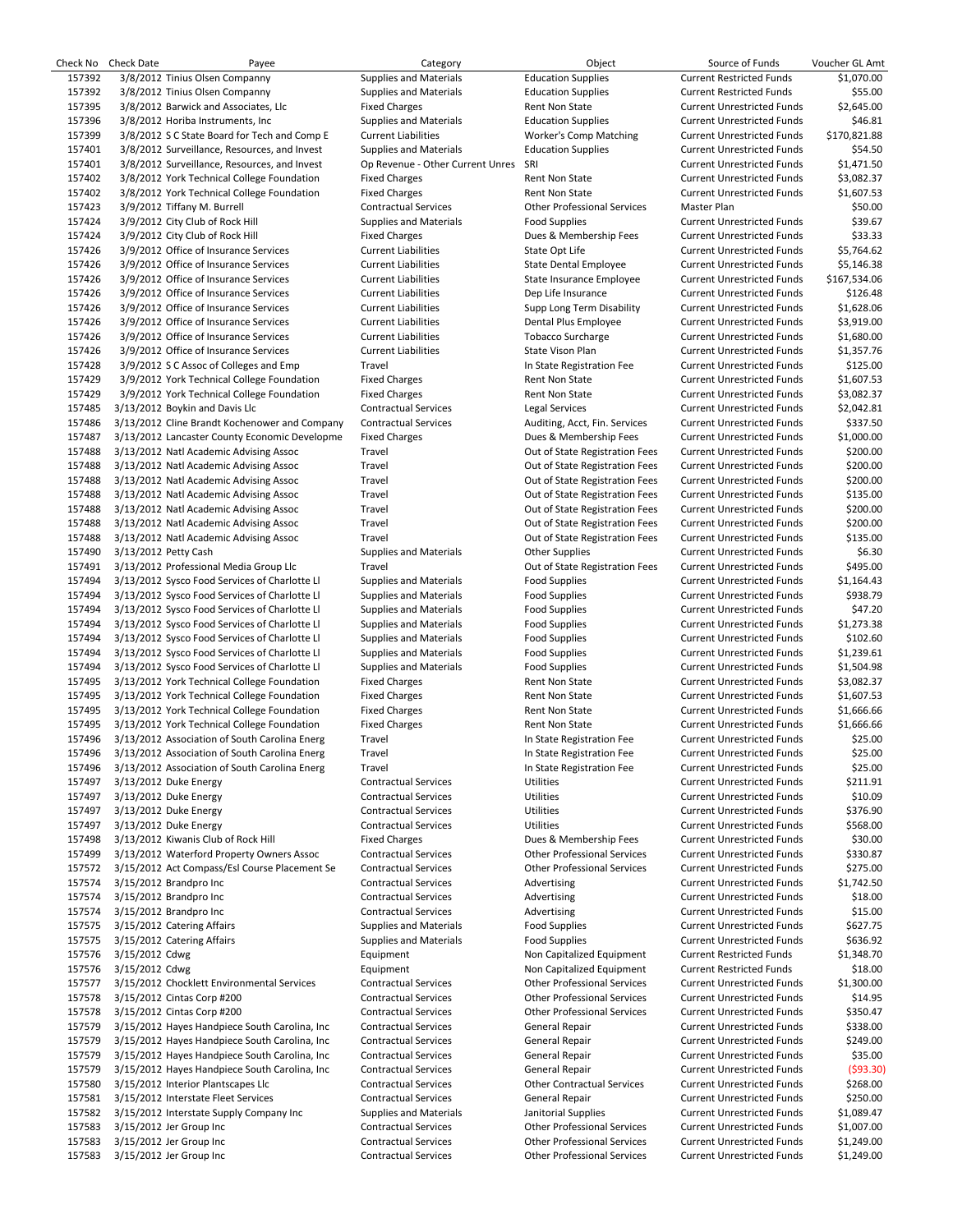|        | Check No Check Date  | Payee                                                | Category                         | Object                             | Source of Funds                   | Voucher GL Amt |
|--------|----------------------|------------------------------------------------------|----------------------------------|------------------------------------|-----------------------------------|----------------|
| 157392 |                      | 3/8/2012 Tinius Olsen Companny                       | <b>Supplies and Materials</b>    | <b>Education Supplies</b>          | <b>Current Restricted Funds</b>   | \$1,070.00     |
| 157392 |                      | 3/8/2012 Tinius Olsen Companny                       | <b>Supplies and Materials</b>    | <b>Education Supplies</b>          | <b>Current Restricted Funds</b>   | \$55.00        |
| 157395 |                      | 3/8/2012 Barwick and Associates, Llc                 | <b>Fixed Charges</b>             | Rent Non State                     | <b>Current Unrestricted Funds</b> | \$2,645.00     |
| 157396 |                      | 3/8/2012 Horiba Instruments, Inc.                    | <b>Supplies and Materials</b>    | <b>Education Supplies</b>          | <b>Current Unrestricted Funds</b> | \$46.81        |
| 157399 |                      | 3/8/2012 S C State Board for Tech and Comp E         | <b>Current Liabilities</b>       | Worker's Comp Matching             | <b>Current Unrestricted Funds</b> | \$170,821.88   |
| 157401 |                      | 3/8/2012 Surveillance, Resources, and Invest         | <b>Supplies and Materials</b>    | <b>Education Supplies</b>          | <b>Current Unrestricted Funds</b> | \$54.50        |
| 157401 |                      | 3/8/2012 Surveillance, Resources, and Invest         | Op Revenue - Other Current Unres | SRI                                | <b>Current Unrestricted Funds</b> | \$1,471.50     |
| 157402 |                      | 3/8/2012 York Technical College Foundation           | <b>Fixed Charges</b>             | Rent Non State                     | <b>Current Unrestricted Funds</b> | \$3,082.37     |
| 157402 |                      | 3/8/2012 York Technical College Foundation           | <b>Fixed Charges</b>             | Rent Non State                     | <b>Current Unrestricted Funds</b> | \$1,607.53     |
| 157423 |                      | 3/9/2012 Tiffany M. Burrell                          | <b>Contractual Services</b>      | <b>Other Professional Services</b> | Master Plan                       | \$50.00        |
| 157424 |                      | 3/9/2012 City Club of Rock Hill                      | <b>Supplies and Materials</b>    | <b>Food Supplies</b>               | <b>Current Unrestricted Funds</b> | \$39.67        |
| 157424 |                      | 3/9/2012 City Club of Rock Hill                      | <b>Fixed Charges</b>             | Dues & Membership Fees             | <b>Current Unrestricted Funds</b> | \$33.33        |
| 157426 |                      | 3/9/2012 Office of Insurance Services                | <b>Current Liabilities</b>       | State Opt Life                     | <b>Current Unrestricted Funds</b> | \$5,764.62     |
| 157426 |                      | 3/9/2012 Office of Insurance Services                | <b>Current Liabilities</b>       | <b>State Dental Employee</b>       | <b>Current Unrestricted Funds</b> | \$5,146.38     |
| 157426 |                      | 3/9/2012 Office of Insurance Services                | <b>Current Liabilities</b>       | State Insurance Employee           | <b>Current Unrestricted Funds</b> | \$167,534.06   |
| 157426 |                      | 3/9/2012 Office of Insurance Services                | <b>Current Liabilities</b>       | Dep Life Insurance                 | <b>Current Unrestricted Funds</b> | \$126.48       |
| 157426 |                      | 3/9/2012 Office of Insurance Services                | <b>Current Liabilities</b>       | Supp Long Term Disability          | <b>Current Unrestricted Funds</b> | \$1,628.06     |
| 157426 |                      | 3/9/2012 Office of Insurance Services                | <b>Current Liabilities</b>       | Dental Plus Employee               | <b>Current Unrestricted Funds</b> | \$3,919.00     |
| 157426 |                      | 3/9/2012 Office of Insurance Services                | <b>Current Liabilities</b>       | <b>Tobacco Surcharge</b>           | <b>Current Unrestricted Funds</b> | \$1,680.00     |
| 157426 |                      | 3/9/2012 Office of Insurance Services                | <b>Current Liabilities</b>       | State Vison Plan                   | <b>Current Unrestricted Funds</b> | \$1,357.76     |
| 157428 |                      | 3/9/2012 S C Assoc of Colleges and Emp               | Travel                           | In State Registration Fee          | <b>Current Unrestricted Funds</b> | \$125.00       |
| 157429 |                      | 3/9/2012 York Technical College Foundation           | <b>Fixed Charges</b>             | Rent Non State                     | <b>Current Unrestricted Funds</b> | \$1,607.53     |
| 157429 |                      | 3/9/2012 York Technical College Foundation           | <b>Fixed Charges</b>             | Rent Non State                     | <b>Current Unrestricted Funds</b> | \$3,082.37     |
| 157485 |                      | 3/13/2012 Boykin and Davis Llc                       | <b>Contractual Services</b>      | <b>Legal Services</b>              | <b>Current Unrestricted Funds</b> | \$2,042.81     |
| 157486 |                      | 3/13/2012 Cline Brandt Kochenower and Company        | <b>Contractual Services</b>      | Auditing, Acct, Fin. Services      | <b>Current Unrestricted Funds</b> | \$337.50       |
| 157487 |                      | 3/13/2012 Lancaster County Economic Developme        | <b>Fixed Charges</b>             | Dues & Membership Fees             | <b>Current Unrestricted Funds</b> | \$1,000.00     |
| 157488 |                      | 3/13/2012 Natl Academic Advising Assoc               | Travel                           | Out of State Registration Fees     | <b>Current Unrestricted Funds</b> | \$200.00       |
| 157488 |                      | 3/13/2012 Natl Academic Advising Assoc               | Travel                           | Out of State Registration Fees     | <b>Current Unrestricted Funds</b> | \$200.00       |
| 157488 |                      | 3/13/2012 Natl Academic Advising Assoc               | Travel                           | Out of State Registration Fees     | <b>Current Unrestricted Funds</b> | \$200.00       |
| 157488 |                      | 3/13/2012 Natl Academic Advising Assoc               | Travel                           | Out of State Registration Fees     | <b>Current Unrestricted Funds</b> | \$135.00       |
|        |                      |                                                      |                                  |                                    |                                   |                |
| 157488 |                      | 3/13/2012 Natl Academic Advising Assoc               | Travel                           | Out of State Registration Fees     | <b>Current Unrestricted Funds</b> | \$200.00       |
| 157488 |                      | 3/13/2012 Natl Academic Advising Assoc               | Travel                           | Out of State Registration Fees     | <b>Current Unrestricted Funds</b> | \$200.00       |
| 157488 |                      | 3/13/2012 Natl Academic Advising Assoc               | Travel                           | Out of State Registration Fees     | <b>Current Unrestricted Funds</b> | \$135.00       |
| 157490 | 3/13/2012 Petty Cash |                                                      | <b>Supplies and Materials</b>    | <b>Other Supplies</b>              | <b>Current Unrestricted Funds</b> | \$6.30         |
| 157491 |                      | 3/13/2012 Professional Media Group Llc               | Travel                           | Out of State Registration Fees     | <b>Current Unrestricted Funds</b> | \$495.00       |
| 157494 |                      | 3/13/2012 Sysco Food Services of Charlotte LI        | <b>Supplies and Materials</b>    | <b>Food Supplies</b>               | <b>Current Unrestricted Funds</b> | \$1,164.43     |
| 157494 |                      | 3/13/2012 Sysco Food Services of Charlotte LI        | <b>Supplies and Materials</b>    | <b>Food Supplies</b>               | <b>Current Unrestricted Funds</b> | \$938.79       |
| 157494 |                      | 3/13/2012 Sysco Food Services of Charlotte Ll        | <b>Supplies and Materials</b>    | <b>Food Supplies</b>               | <b>Current Unrestricted Funds</b> | \$47.20        |
| 157494 |                      | 3/13/2012 Sysco Food Services of Charlotte LI        | <b>Supplies and Materials</b>    | <b>Food Supplies</b>               | <b>Current Unrestricted Funds</b> | \$1,273.38     |
| 157494 |                      | 3/13/2012 Sysco Food Services of Charlotte LI        | <b>Supplies and Materials</b>    | <b>Food Supplies</b>               | <b>Current Unrestricted Funds</b> | \$102.60       |
| 157494 |                      | 3/13/2012 Sysco Food Services of Charlotte LI        | <b>Supplies and Materials</b>    | <b>Food Supplies</b>               | <b>Current Unrestricted Funds</b> | \$1,239.61     |
| 157494 |                      | 3/13/2012 Sysco Food Services of Charlotte Ll        | <b>Supplies and Materials</b>    | <b>Food Supplies</b>               | <b>Current Unrestricted Funds</b> | \$1,504.98     |
| 157495 |                      | 3/13/2012 York Technical College Foundation          | <b>Fixed Charges</b>             | Rent Non State                     | <b>Current Unrestricted Funds</b> | \$3,082.37     |
| 157495 |                      | 3/13/2012 York Technical College Foundation          | <b>Fixed Charges</b>             | Rent Non State                     | <b>Current Unrestricted Funds</b> | \$1,607.53     |
| 157495 |                      | 3/13/2012 York Technical College Foundation          | <b>Fixed Charges</b>             | Rent Non State                     | <b>Current Unrestricted Funds</b> | \$1,666.66     |
| 157495 |                      | 3/13/2012 York Technical College Foundation          | <b>Fixed Charges</b>             | Rent Non State                     | <b>Current Unrestricted Funds</b> | \$1,666.66     |
| 157496 |                      | 3/13/2012 Association of South Carolina Energ        | Travel                           | In State Registration Fee          | <b>Current Unrestricted Funds</b> | \$25.00        |
|        |                      | 157496 3/13/2012 Association of South Carolina Energ | Travel                           | In State Registration Fee          | <b>Current Unrestricted Funds</b> | \$25.00        |
| 157496 |                      | 3/13/2012 Association of South Carolina Energ        | Travel                           | In State Registration Fee          | <b>Current Unrestricted Funds</b> | \$25.00        |
| 157497 |                      | 3/13/2012 Duke Energy                                | <b>Contractual Services</b>      | Utilities                          | <b>Current Unrestricted Funds</b> | \$211.91       |
| 157497 |                      | 3/13/2012 Duke Energy                                | <b>Contractual Services</b>      | Utilities                          | <b>Current Unrestricted Funds</b> | \$10.09        |
| 157497 |                      | 3/13/2012 Duke Energy                                | <b>Contractual Services</b>      | Utilities                          | <b>Current Unrestricted Funds</b> | \$376.90       |
| 157497 |                      | 3/13/2012 Duke Energy                                | <b>Contractual Services</b>      | <b>Utilities</b>                   | <b>Current Unrestricted Funds</b> | \$568.00       |
| 157498 |                      | 3/13/2012 Kiwanis Club of Rock Hill                  | <b>Fixed Charges</b>             | Dues & Membership Fees             | <b>Current Unrestricted Funds</b> | \$30.00        |
| 157499 |                      | 3/13/2012 Waterford Property Owners Assoc            | <b>Contractual Services</b>      | <b>Other Professional Services</b> | <b>Current Unrestricted Funds</b> | \$330.87       |
| 157572 |                      | 3/15/2012 Act Compass/Esl Course Placement Se        | <b>Contractual Services</b>      | <b>Other Professional Services</b> | <b>Current Unrestricted Funds</b> | \$275.00       |
| 157574 |                      | 3/15/2012 Brandpro Inc                               | <b>Contractual Services</b>      | Advertising                        | <b>Current Unrestricted Funds</b> | \$1,742.50     |
| 157574 |                      | 3/15/2012 Brandpro Inc                               | <b>Contractual Services</b>      | Advertising                        | <b>Current Unrestricted Funds</b> | \$18.00        |
| 157574 |                      | 3/15/2012 Brandpro Inc                               | <b>Contractual Services</b>      | Advertising                        | <b>Current Unrestricted Funds</b> | \$15.00        |
|        |                      |                                                      |                                  |                                    |                                   | \$627.75       |
| 157575 |                      | 3/15/2012 Catering Affairs                           | <b>Supplies and Materials</b>    | <b>Food Supplies</b>               | <b>Current Unrestricted Funds</b> |                |
| 157575 |                      | 3/15/2012 Catering Affairs                           | <b>Supplies and Materials</b>    | <b>Food Supplies</b>               | <b>Current Unrestricted Funds</b> | \$636.92       |
| 157576 | 3/15/2012 Cdwg       |                                                      | Equipment                        | Non Capitalized Equipment          | <b>Current Restricted Funds</b>   | \$1,348.70     |
| 157576 | 3/15/2012 Cdwg       |                                                      | Equipment                        | Non Capitalized Equipment          | <b>Current Restricted Funds</b>   | \$18.00        |
| 157577 |                      | 3/15/2012 Chocklett Environmental Services           | <b>Contractual Services</b>      | <b>Other Professional Services</b> | <b>Current Unrestricted Funds</b> | \$1,300.00     |
| 157578 |                      | 3/15/2012 Cintas Corp #200                           | <b>Contractual Services</b>      | <b>Other Professional Services</b> | <b>Current Unrestricted Funds</b> | \$14.95        |
| 157578 |                      | 3/15/2012 Cintas Corp #200                           | <b>Contractual Services</b>      | <b>Other Professional Services</b> | <b>Current Unrestricted Funds</b> | \$350.47       |
| 157579 |                      | 3/15/2012 Hayes Handpiece South Carolina, Inc.       | <b>Contractual Services</b>      | General Repair                     | <b>Current Unrestricted Funds</b> | \$338.00       |
| 157579 |                      | 3/15/2012 Hayes Handpiece South Carolina, Inc.       | <b>Contractual Services</b>      | General Repair                     | <b>Current Unrestricted Funds</b> | \$249.00       |
| 157579 |                      | 3/15/2012 Hayes Handpiece South Carolina, Inc.       | <b>Contractual Services</b>      | General Repair                     | <b>Current Unrestricted Funds</b> | \$35.00        |
| 157579 |                      | 3/15/2012 Hayes Handpiece South Carolina, Inc.       | <b>Contractual Services</b>      | General Repair                     | <b>Current Unrestricted Funds</b> | (593.30)       |
| 157580 |                      | 3/15/2012 Interior Plantscapes Llc                   | <b>Contractual Services</b>      | <b>Other Contractual Services</b>  | <b>Current Unrestricted Funds</b> | \$268.00       |
| 157581 |                      | 3/15/2012 Interstate Fleet Services                  | <b>Contractual Services</b>      | General Repair                     | <b>Current Unrestricted Funds</b> | \$250.00       |
| 157582 |                      | 3/15/2012 Interstate Supply Company Inc              | <b>Supplies and Materials</b>    | Janitorial Supplies                | <b>Current Unrestricted Funds</b> | \$1,089.47     |
| 157583 |                      | 3/15/2012 Jer Group Inc                              | <b>Contractual Services</b>      | <b>Other Professional Services</b> | <b>Current Unrestricted Funds</b> | \$1,007.00     |
| 157583 |                      | 3/15/2012 Jer Group Inc                              | <b>Contractual Services</b>      | <b>Other Professional Services</b> | <b>Current Unrestricted Funds</b> | \$1,249.00     |
| 157583 |                      | 3/15/2012 Jer Group Inc                              | <b>Contractual Services</b>      | <b>Other Professional Services</b> | <b>Current Unrestricted Funds</b> | \$1,249.00     |
|        |                      |                                                      |                                  |                                    |                                   |                |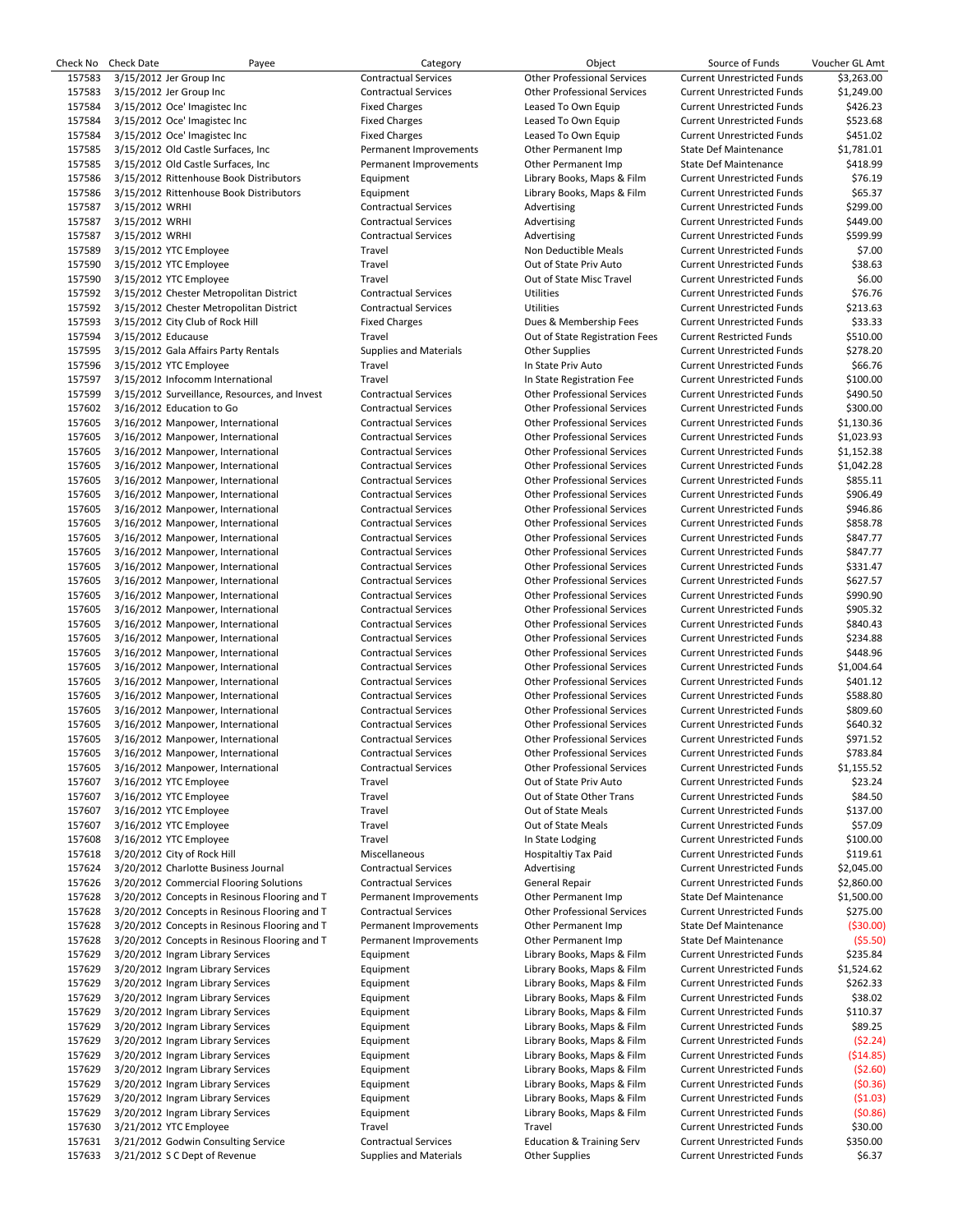| Check No | Check Date         | Payee                                         | Category                      | Object                               | Source of Funds                   | Voucher GL Amt |
|----------|--------------------|-----------------------------------------------|-------------------------------|--------------------------------------|-----------------------------------|----------------|
| 157583   |                    | 3/15/2012 Jer Group Inc                       | <b>Contractual Services</b>   | <b>Other Professional Services</b>   | <b>Current Unrestricted Funds</b> | \$3,263.00     |
| 157583   |                    | 3/15/2012 Jer Group Inc                       | <b>Contractual Services</b>   | <b>Other Professional Services</b>   | <b>Current Unrestricted Funds</b> | \$1,249.00     |
| 157584   |                    | 3/15/2012 Oce' Imagistec Inc                  | <b>Fixed Charges</b>          | Leased To Own Equip                  | <b>Current Unrestricted Funds</b> | \$426.23       |
| 157584   |                    | 3/15/2012 Oce' Imagistec Inc                  | <b>Fixed Charges</b>          | Leased To Own Equip                  | <b>Current Unrestricted Funds</b> | \$523.68       |
|          |                    |                                               |                               |                                      |                                   |                |
| 157584   |                    | 3/15/2012 Oce' Imagistec Inc                  | <b>Fixed Charges</b>          | Leased To Own Equip                  | <b>Current Unrestricted Funds</b> | \$451.02       |
| 157585   |                    | 3/15/2012 Old Castle Surfaces, Inc.           | Permanent Improvements        | Other Permanent Imp                  | State Def Maintenance             | \$1,781.01     |
| 157585   |                    | 3/15/2012 Old Castle Surfaces, Inc.           | Permanent Improvements        | Other Permanent Imp                  | <b>State Def Maintenance</b>      | \$418.99       |
| 157586   |                    | 3/15/2012 Rittenhouse Book Distributors       | Equipment                     | Library Books, Maps & Film           | <b>Current Unrestricted Funds</b> | \$76.19        |
| 157586   |                    | 3/15/2012 Rittenhouse Book Distributors       | Equipment                     | Library Books, Maps & Film           | <b>Current Unrestricted Funds</b> | \$65.37        |
|          |                    |                                               |                               |                                      |                                   | \$299.00       |
| 157587   | 3/15/2012 WRHI     |                                               | <b>Contractual Services</b>   | Advertising                          | <b>Current Unrestricted Funds</b> |                |
| 157587   | 3/15/2012 WRHI     |                                               | <b>Contractual Services</b>   | Advertising                          | <b>Current Unrestricted Funds</b> | \$449.00       |
| 157587   | 3/15/2012 WRHI     |                                               | <b>Contractual Services</b>   | Advertising                          | <b>Current Unrestricted Funds</b> | \$599.99       |
| 157589   |                    | 3/15/2012 YTC Employee                        | Travel                        | Non Deductible Meals                 | <b>Current Unrestricted Funds</b> | \$7.00         |
| 157590   |                    | 3/15/2012 YTC Employee                        | Travel                        | Out of State Priv Auto               | <b>Current Unrestricted Funds</b> | \$38.63        |
|          |                    |                                               | Travel                        | Out of State Misc Travel             |                                   | \$6.00         |
| 157590   |                    | 3/15/2012 YTC Employee                        |                               |                                      | <b>Current Unrestricted Funds</b> |                |
| 157592   |                    | 3/15/2012 Chester Metropolitan District       | <b>Contractual Services</b>   | <b>Utilities</b>                     | <b>Current Unrestricted Funds</b> | \$76.76        |
| 157592   |                    | 3/15/2012 Chester Metropolitan District       | <b>Contractual Services</b>   | <b>Utilities</b>                     | <b>Current Unrestricted Funds</b> | \$213.63       |
| 157593   |                    | 3/15/2012 City Club of Rock Hill              | <b>Fixed Charges</b>          | Dues & Membership Fees               | <b>Current Unrestricted Funds</b> | \$33.33        |
| 157594   | 3/15/2012 Educause |                                               | Travel                        | Out of State Registration Fees       | <b>Current Restricted Funds</b>   | \$510.00       |
|          |                    |                                               |                               |                                      |                                   |                |
| 157595   |                    | 3/15/2012 Gala Affairs Party Rentals          | <b>Supplies and Materials</b> | <b>Other Supplies</b>                | <b>Current Unrestricted Funds</b> | \$278.20       |
| 157596   |                    | 3/15/2012 YTC Employee                        | Travel                        | In State Priv Auto                   | <b>Current Unrestricted Funds</b> | \$66.76        |
| 157597   |                    | 3/15/2012 Infocomm International              | Travel                        | In State Registration Fee            | <b>Current Unrestricted Funds</b> | \$100.00       |
| 157599   |                    | 3/15/2012 Surveillance, Resources, and Invest | <b>Contractual Services</b>   | <b>Other Professional Services</b>   | <b>Current Unrestricted Funds</b> | \$490.50       |
| 157602   |                    | 3/16/2012 Education to Go                     | <b>Contractual Services</b>   | <b>Other Professional Services</b>   | <b>Current Unrestricted Funds</b> | \$300.00       |
|          |                    |                                               |                               |                                      |                                   |                |
| 157605   |                    | 3/16/2012 Manpower, International             | <b>Contractual Services</b>   | <b>Other Professional Services</b>   | <b>Current Unrestricted Funds</b> | \$1,130.36     |
| 157605   |                    | 3/16/2012 Manpower, International             | <b>Contractual Services</b>   | <b>Other Professional Services</b>   | <b>Current Unrestricted Funds</b> | \$1,023.93     |
| 157605   |                    | 3/16/2012 Manpower, International             | <b>Contractual Services</b>   | <b>Other Professional Services</b>   | <b>Current Unrestricted Funds</b> | \$1,152.38     |
| 157605   |                    | 3/16/2012 Manpower, International             | <b>Contractual Services</b>   | <b>Other Professional Services</b>   | <b>Current Unrestricted Funds</b> | \$1,042.28     |
| 157605   |                    | 3/16/2012 Manpower, International             | <b>Contractual Services</b>   | <b>Other Professional Services</b>   | <b>Current Unrestricted Funds</b> | \$855.11       |
|          |                    |                                               |                               |                                      |                                   |                |
| 157605   |                    | 3/16/2012 Manpower, International             | <b>Contractual Services</b>   | <b>Other Professional Services</b>   | <b>Current Unrestricted Funds</b> | \$906.49       |
| 157605   |                    | 3/16/2012 Manpower, International             | <b>Contractual Services</b>   | <b>Other Professional Services</b>   | <b>Current Unrestricted Funds</b> | \$946.86       |
| 157605   |                    | 3/16/2012 Manpower, International             | <b>Contractual Services</b>   | <b>Other Professional Services</b>   | <b>Current Unrestricted Funds</b> | \$858.78       |
| 157605   |                    | 3/16/2012 Manpower, International             | <b>Contractual Services</b>   | <b>Other Professional Services</b>   | <b>Current Unrestricted Funds</b> | \$847.77       |
| 157605   |                    | 3/16/2012 Manpower, International             | <b>Contractual Services</b>   | <b>Other Professional Services</b>   | <b>Current Unrestricted Funds</b> | \$847.77       |
|          |                    |                                               |                               |                                      |                                   |                |
| 157605   |                    | 3/16/2012 Manpower, International             | <b>Contractual Services</b>   | <b>Other Professional Services</b>   | <b>Current Unrestricted Funds</b> | \$331.47       |
| 157605   |                    | 3/16/2012 Manpower, International             | <b>Contractual Services</b>   | <b>Other Professional Services</b>   | <b>Current Unrestricted Funds</b> | \$627.57       |
| 157605   |                    | 3/16/2012 Manpower, International             | <b>Contractual Services</b>   | <b>Other Professional Services</b>   | <b>Current Unrestricted Funds</b> | \$990.90       |
| 157605   |                    | 3/16/2012 Manpower, International             | <b>Contractual Services</b>   | <b>Other Professional Services</b>   | <b>Current Unrestricted Funds</b> | \$905.32       |
| 157605   |                    | 3/16/2012 Manpower, International             | <b>Contractual Services</b>   | <b>Other Professional Services</b>   | <b>Current Unrestricted Funds</b> | \$840.43       |
|          |                    |                                               |                               |                                      |                                   |                |
| 157605   |                    | 3/16/2012 Manpower, International             | <b>Contractual Services</b>   | <b>Other Professional Services</b>   | <b>Current Unrestricted Funds</b> | \$234.88       |
| 157605   |                    | 3/16/2012 Manpower, International             | <b>Contractual Services</b>   | <b>Other Professional Services</b>   | <b>Current Unrestricted Funds</b> | \$448.96       |
| 157605   |                    | 3/16/2012 Manpower, International             | <b>Contractual Services</b>   | <b>Other Professional Services</b>   | <b>Current Unrestricted Funds</b> | \$1,004.64     |
| 157605   |                    | 3/16/2012 Manpower, International             | <b>Contractual Services</b>   | <b>Other Professional Services</b>   | <b>Current Unrestricted Funds</b> | \$401.12       |
| 157605   |                    | 3/16/2012 Manpower, International             | <b>Contractual Services</b>   | <b>Other Professional Services</b>   | <b>Current Unrestricted Funds</b> | \$588.80       |
|          |                    |                                               |                               |                                      |                                   |                |
| 157605   |                    | 3/16/2012 Manpower, International             | <b>Contractual Services</b>   | <b>Other Professional Services</b>   | <b>Current Unrestricted Funds</b> | \$809.60       |
| 157605   |                    | 3/16/2012 Manpower, International             | <b>Contractual Services</b>   | <b>Other Professional Services</b>   | <b>Current Unrestricted Funds</b> | \$640.32       |
| 157605   |                    | 3/16/2012 Manpower, International             | <b>Contractual Services</b>   | <b>Other Professional Services</b>   | <b>Current Unrestricted Funds</b> | \$971.52       |
| 157605   |                    | 3/16/2012 Manpower, International             | <b>Contractual Services</b>   | <b>Other Professional Services</b>   | <b>Current Unrestricted Funds</b> | \$783.84       |
| 157605   |                    | 3/16/2012 Manpower, International             | <b>Contractual Services</b>   | <b>Other Professional Services</b>   | <b>Current Unrestricted Funds</b> | \$1,155.52     |
|          |                    |                                               |                               |                                      |                                   |                |
| 157607   |                    | 3/16/2012 YTC Employee                        | Travel                        | Out of State Priv Auto               | <b>Current Unrestricted Funds</b> | \$23.24        |
| 157607   |                    | 3/16/2012 YTC Employee                        | Travel                        | Out of State Other Trans             | <b>Current Unrestricted Funds</b> | \$84.50        |
| 157607   |                    | 3/16/2012 YTC Employee                        | Travel                        | Out of State Meals                   | <b>Current Unrestricted Funds</b> | \$137.00       |
| 157607   |                    | 3/16/2012 YTC Employee                        | Travel                        | Out of State Meals                   | <b>Current Unrestricted Funds</b> | \$57.09        |
| 157608   |                    | 3/16/2012 YTC Employee                        | Travel                        | In State Lodging                     | <b>Current Unrestricted Funds</b> | \$100.00       |
|          |                    |                                               |                               |                                      |                                   |                |
| 157618   |                    | 3/20/2012 City of Rock Hill                   | Miscellaneous                 | Hospitaltiy Tax Paid                 | <b>Current Unrestricted Funds</b> | \$119.61       |
| 157624   |                    | 3/20/2012 Charlotte Business Journal          | <b>Contractual Services</b>   | Advertising                          | <b>Current Unrestricted Funds</b> | \$2,045.00     |
| 157626   |                    | 3/20/2012 Commercial Flooring Solutions       | <b>Contractual Services</b>   | General Repair                       | <b>Current Unrestricted Funds</b> | \$2,860.00     |
| 157628   |                    | 3/20/2012 Concepts in Resinous Flooring and T | Permanent Improvements        | Other Permanent Imp                  | State Def Maintenance             | \$1,500.00     |
|          |                    |                                               |                               |                                      |                                   |                |
| 157628   |                    | 3/20/2012 Concepts in Resinous Flooring and T | <b>Contractual Services</b>   | <b>Other Professional Services</b>   | <b>Current Unrestricted Funds</b> | \$275.00       |
| 157628   |                    | 3/20/2012 Concepts in Resinous Flooring and T | Permanent Improvements        | Other Permanent Imp                  | <b>State Def Maintenance</b>      | (530.00)       |
| 157628   |                    | 3/20/2012 Concepts in Resinous Flooring and T | Permanent Improvements        | Other Permanent Imp                  | <b>State Def Maintenance</b>      | (55.50)        |
| 157629   |                    | 3/20/2012 Ingram Library Services             | Equipment                     | Library Books, Maps & Film           | <b>Current Unrestricted Funds</b> | \$235.84       |
| 157629   |                    | 3/20/2012 Ingram Library Services             | Equipment                     | Library Books, Maps & Film           | <b>Current Unrestricted Funds</b> | \$1,524.62     |
|          |                    |                                               |                               |                                      |                                   |                |
| 157629   |                    | 3/20/2012 Ingram Library Services             | Equipment                     | Library Books, Maps & Film           | <b>Current Unrestricted Funds</b> | \$262.33       |
| 157629   |                    | 3/20/2012 Ingram Library Services             | Equipment                     | Library Books, Maps & Film           | <b>Current Unrestricted Funds</b> | \$38.02        |
| 157629   |                    | 3/20/2012 Ingram Library Services             | Equipment                     | Library Books, Maps & Film           | <b>Current Unrestricted Funds</b> | \$110.37       |
| 157629   |                    | 3/20/2012 Ingram Library Services             | Equipment                     | Library Books, Maps & Film           | <b>Current Unrestricted Funds</b> | \$89.25        |
| 157629   |                    | 3/20/2012 Ingram Library Services             | Equipment                     | Library Books, Maps & Film           | <b>Current Unrestricted Funds</b> | (52.24)        |
|          |                    |                                               |                               |                                      |                                   |                |
| 157629   |                    | 3/20/2012 Ingram Library Services             | Equipment                     | Library Books, Maps & Film           | <b>Current Unrestricted Funds</b> | ( \$14.85)     |
| 157629   |                    | 3/20/2012 Ingram Library Services             | Equipment                     | Library Books, Maps & Film           | <b>Current Unrestricted Funds</b> | ( \$2.60]      |
| 157629   |                    | 3/20/2012 Ingram Library Services             | Equipment                     | Library Books, Maps & Film           | <b>Current Unrestricted Funds</b> | (50.36)        |
| 157629   |                    | 3/20/2012 Ingram Library Services             | Equipment                     | Library Books, Maps & Film           | <b>Current Unrestricted Funds</b> | (51.03)        |
|          |                    |                                               |                               |                                      |                                   |                |
| 157629   |                    | 3/20/2012 Ingram Library Services             | Equipment                     | Library Books, Maps & Film           | <b>Current Unrestricted Funds</b> | (50.86)        |
| 157630   |                    | 3/21/2012 YTC Employee                        | Travel                        | Travel                               | <b>Current Unrestricted Funds</b> | \$30.00        |
| 157631   |                    | 3/21/2012 Godwin Consulting Service           | <b>Contractual Services</b>   | <b>Education &amp; Training Serv</b> | <b>Current Unrestricted Funds</b> | \$350.00       |
| 157633   |                    | 3/21/2012 S C Dept of Revenue                 | <b>Supplies and Materials</b> | <b>Other Supplies</b>                | <b>Current Unrestricted Funds</b> | \$6.37         |
|          |                    |                                               |                               |                                      |                                   |                |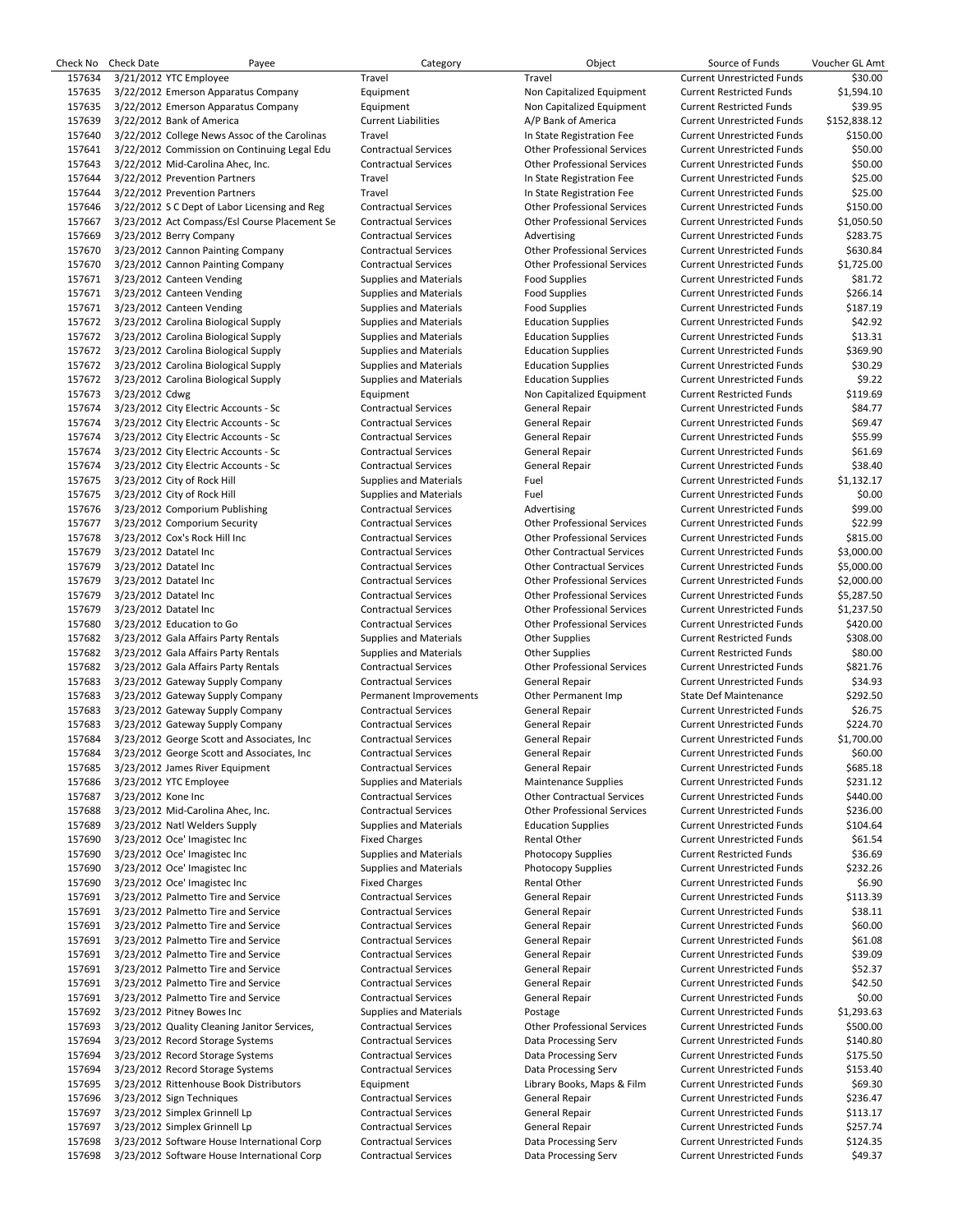| Check No | <b>Check Date</b>     | Payee                                         | Category                      | Object                             | Source of Funds                   | Voucher GL Amt |
|----------|-----------------------|-----------------------------------------------|-------------------------------|------------------------------------|-----------------------------------|----------------|
| 157634   |                       | 3/21/2012 YTC Employee                        | Travel                        | Travel                             | <b>Current Unrestricted Funds</b> | \$30.00        |
| 157635   |                       | 3/22/2012 Emerson Apparatus Company           | Equipment                     | Non Capitalized Equipment          | <b>Current Restricted Funds</b>   | \$1,594.10     |
| 157635   |                       | 3/22/2012 Emerson Apparatus Company           | Equipment                     | Non Capitalized Equipment          | <b>Current Restricted Funds</b>   | \$39.95        |
| 157639   |                       | 3/22/2012 Bank of America                     | <b>Current Liabilities</b>    | A/P Bank of America                | <b>Current Unrestricted Funds</b> | \$152,838.12   |
| 157640   |                       | 3/22/2012 College News Assoc of the Carolinas | Travel                        | In State Registration Fee          | <b>Current Unrestricted Funds</b> | \$150.00       |
| 157641   |                       | 3/22/2012 Commission on Continuing Legal Edu  | <b>Contractual Services</b>   | <b>Other Professional Services</b> | <b>Current Unrestricted Funds</b> | \$50.00        |
| 157643   |                       | 3/22/2012 Mid-Carolina Ahec, Inc.             | <b>Contractual Services</b>   | <b>Other Professional Services</b> | <b>Current Unrestricted Funds</b> | \$50.00        |
| 157644   |                       | 3/22/2012 Prevention Partners                 | Travel                        | In State Registration Fee          | <b>Current Unrestricted Funds</b> | \$25.00        |
| 157644   |                       | 3/22/2012 Prevention Partners                 | Travel                        | In State Registration Fee          | <b>Current Unrestricted Funds</b> | \$25.00        |
| 157646   |                       | 3/22/2012 S C Dept of Labor Licensing and Reg | <b>Contractual Services</b>   | <b>Other Professional Services</b> | <b>Current Unrestricted Funds</b> | \$150.00       |
| 157667   |                       | 3/23/2012 Act Compass/Esl Course Placement Se | <b>Contractual Services</b>   | <b>Other Professional Services</b> | <b>Current Unrestricted Funds</b> | \$1,050.50     |
| 157669   |                       | 3/23/2012 Berry Company                       | <b>Contractual Services</b>   | Advertising                        | <b>Current Unrestricted Funds</b> | \$283.75       |
| 157670   |                       | 3/23/2012 Cannon Painting Company             | <b>Contractual Services</b>   | <b>Other Professional Services</b> | <b>Current Unrestricted Funds</b> | \$630.84       |
| 157670   |                       | 3/23/2012 Cannon Painting Company             | <b>Contractual Services</b>   | <b>Other Professional Services</b> | <b>Current Unrestricted Funds</b> | \$1,725.00     |
| 157671   |                       | 3/23/2012 Canteen Vending                     | <b>Supplies and Materials</b> | <b>Food Supplies</b>               | <b>Current Unrestricted Funds</b> | \$81.72        |
| 157671   |                       | 3/23/2012 Canteen Vending                     | <b>Supplies and Materials</b> | <b>Food Supplies</b>               | <b>Current Unrestricted Funds</b> | \$266.14       |
| 157671   |                       | 3/23/2012 Canteen Vending                     | <b>Supplies and Materials</b> | <b>Food Supplies</b>               | <b>Current Unrestricted Funds</b> | \$187.19       |
| 157672   |                       | 3/23/2012 Carolina Biological Supply          | <b>Supplies and Materials</b> | <b>Education Supplies</b>          | <b>Current Unrestricted Funds</b> | \$42.92        |
| 157672   |                       | 3/23/2012 Carolina Biological Supply          | Supplies and Materials        | <b>Education Supplies</b>          | <b>Current Unrestricted Funds</b> | \$13.31        |
| 157672   |                       | 3/23/2012 Carolina Biological Supply          | <b>Supplies and Materials</b> | <b>Education Supplies</b>          | <b>Current Unrestricted Funds</b> | \$369.90       |
| 157672   |                       | 3/23/2012 Carolina Biological Supply          | <b>Supplies and Materials</b> | <b>Education Supplies</b>          | <b>Current Unrestricted Funds</b> | \$30.29        |
| 157672   |                       | 3/23/2012 Carolina Biological Supply          | <b>Supplies and Materials</b> | <b>Education Supplies</b>          | <b>Current Unrestricted Funds</b> | \$9.22         |
| 157673   | 3/23/2012 Cdwg        |                                               | Equipment                     | Non Capitalized Equipment          | <b>Current Restricted Funds</b>   | \$119.69       |
| 157674   |                       | 3/23/2012 City Electric Accounts - Sc         | <b>Contractual Services</b>   | General Repair                     | <b>Current Unrestricted Funds</b> | \$84.77        |
| 157674   |                       | 3/23/2012 City Electric Accounts - Sc         | <b>Contractual Services</b>   | General Repair                     | <b>Current Unrestricted Funds</b> | \$69.47        |
| 157674   |                       | 3/23/2012 City Electric Accounts - Sc         | <b>Contractual Services</b>   | General Repair                     | <b>Current Unrestricted Funds</b> | \$55.99        |
| 157674   |                       | 3/23/2012 City Electric Accounts - Sc         | <b>Contractual Services</b>   | General Repair                     | <b>Current Unrestricted Funds</b> | \$61.69        |
| 157674   |                       | 3/23/2012 City Electric Accounts - Sc         | <b>Contractual Services</b>   | General Repair                     | <b>Current Unrestricted Funds</b> | \$38.40        |
| 157675   |                       | 3/23/2012 City of Rock Hill                   | <b>Supplies and Materials</b> | Fuel                               | <b>Current Unrestricted Funds</b> | \$1,132.17     |
| 157675   |                       | 3/23/2012 City of Rock Hill                   | <b>Supplies and Materials</b> | Fuel                               | <b>Current Unrestricted Funds</b> | \$0.00         |
| 157676   |                       | 3/23/2012 Comporium Publishing                | <b>Contractual Services</b>   | Advertising                        | <b>Current Unrestricted Funds</b> | \$99.00        |
| 157677   |                       | 3/23/2012 Comporium Security                  | <b>Contractual Services</b>   | <b>Other Professional Services</b> | <b>Current Unrestricted Funds</b> | \$22.99        |
| 157678   |                       | 3/23/2012 Cox's Rock Hill Inc                 | <b>Contractual Services</b>   | <b>Other Professional Services</b> | <b>Current Unrestricted Funds</b> | \$815.00       |
| 157679   | 3/23/2012 Datatel Inc |                                               | <b>Contractual Services</b>   | <b>Other Contractual Services</b>  | <b>Current Unrestricted Funds</b> | \$3,000.00     |
| 157679   | 3/23/2012 Datatel Inc |                                               | <b>Contractual Services</b>   | <b>Other Contractual Services</b>  | <b>Current Unrestricted Funds</b> | \$5,000.00     |
| 157679   | 3/23/2012 Datatel Inc |                                               | <b>Contractual Services</b>   | <b>Other Professional Services</b> | <b>Current Unrestricted Funds</b> | \$2,000.00     |
| 157679   | 3/23/2012 Datatel Inc |                                               | <b>Contractual Services</b>   | <b>Other Professional Services</b> | <b>Current Unrestricted Funds</b> | \$5,287.50     |
| 157679   | 3/23/2012 Datatel Inc |                                               | <b>Contractual Services</b>   | <b>Other Professional Services</b> | <b>Current Unrestricted Funds</b> | \$1,237.50     |
| 157680   |                       | 3/23/2012 Education to Go                     | <b>Contractual Services</b>   | <b>Other Professional Services</b> | <b>Current Unrestricted Funds</b> | \$420.00       |
| 157682   |                       | 3/23/2012 Gala Affairs Party Rentals          | <b>Supplies and Materials</b> | <b>Other Supplies</b>              | <b>Current Restricted Funds</b>   | \$308.00       |
| 157682   |                       | 3/23/2012 Gala Affairs Party Rentals          | <b>Supplies and Materials</b> | <b>Other Supplies</b>              | <b>Current Restricted Funds</b>   | \$80.00        |
| 157682   |                       | 3/23/2012 Gala Affairs Party Rentals          | <b>Contractual Services</b>   | <b>Other Professional Services</b> | <b>Current Unrestricted Funds</b> | \$821.76       |
| 157683   |                       | 3/23/2012 Gateway Supply Company              | <b>Contractual Services</b>   | General Repair                     | <b>Current Unrestricted Funds</b> | \$34.93        |
| 157683   |                       | 3/23/2012 Gateway Supply Company              | Permanent Improvements        | Other Permanent Imp                | <b>State Def Maintenance</b>      | \$292.50       |
| 157683   |                       | 3/23/2012 Gateway Supply Company              | <b>Contractual Services</b>   | General Repair                     | <b>Current Unrestricted Funds</b> | \$26.75        |
| 157683   |                       | 3/23/2012 Gateway Supply Company              | <b>Contractual Services</b>   | General Repair                     | <b>Current Unrestricted Funds</b> | \$224.70       |
| 157684   |                       | 3/23/2012 George Scott and Associates, Inc.   | <b>Contractual Services</b>   | General Repair                     | <b>Current Unrestricted Funds</b> | \$1,700.00     |
| 157684   |                       | 3/23/2012 George Scott and Associates, Inc    | <b>Contractual Services</b>   | General Repair                     | <b>Current Unrestricted Funds</b> | \$60.00        |
| 157685   |                       | 3/23/2012 James River Equipment               | <b>Contractual Services</b>   | General Repair                     | <b>Current Unrestricted Funds</b> | \$685.18       |
| 157686   |                       | 3/23/2012 YTC Employee                        | <b>Supplies and Materials</b> | <b>Maintenance Supplies</b>        | <b>Current Unrestricted Funds</b> | \$231.12       |
| 157687   | 3/23/2012 Kone Inc    |                                               | <b>Contractual Services</b>   | <b>Other Contractual Services</b>  | <b>Current Unrestricted Funds</b> | \$440.00       |
| 157688   |                       | 3/23/2012 Mid-Carolina Ahec, Inc.             | <b>Contractual Services</b>   | <b>Other Professional Services</b> | <b>Current Unrestricted Funds</b> | \$236.00       |
| 157689   |                       | 3/23/2012 Natl Welders Supply                 | <b>Supplies and Materials</b> | <b>Education Supplies</b>          | <b>Current Unrestricted Funds</b> | \$104.64       |
| 157690   |                       | 3/23/2012 Oce' Imagistec Inc                  | <b>Fixed Charges</b>          | <b>Rental Other</b>                | <b>Current Unrestricted Funds</b> | \$61.54        |
| 157690   |                       | 3/23/2012 Oce' Imagistec Inc                  | <b>Supplies and Materials</b> | <b>Photocopy Supplies</b>          | <b>Current Restricted Funds</b>   | \$36.69        |
| 157690   |                       | 3/23/2012 Oce' Imagistec Inc                  | <b>Supplies and Materials</b> | <b>Photocopy Supplies</b>          | <b>Current Unrestricted Funds</b> | \$232.26       |
| 157690   |                       | 3/23/2012 Oce' Imagistec Inc                  | <b>Fixed Charges</b>          | Rental Other                       | <b>Current Unrestricted Funds</b> | \$6.90         |
| 157691   |                       | 3/23/2012 Palmetto Tire and Service           | <b>Contractual Services</b>   | General Repair                     | <b>Current Unrestricted Funds</b> | \$113.39       |
| 157691   |                       | 3/23/2012 Palmetto Tire and Service           | <b>Contractual Services</b>   | General Repair                     | <b>Current Unrestricted Funds</b> | \$38.11        |
| 157691   |                       | 3/23/2012 Palmetto Tire and Service           | <b>Contractual Services</b>   | <b>General Repair</b>              | <b>Current Unrestricted Funds</b> | \$60.00        |
| 157691   |                       | 3/23/2012 Palmetto Tire and Service           | <b>Contractual Services</b>   | General Repair                     | <b>Current Unrestricted Funds</b> | \$61.08        |
| 157691   |                       | 3/23/2012 Palmetto Tire and Service           | <b>Contractual Services</b>   | General Repair                     | <b>Current Unrestricted Funds</b> | \$39.09        |
| 157691   |                       | 3/23/2012 Palmetto Tire and Service           | <b>Contractual Services</b>   | General Repair                     | <b>Current Unrestricted Funds</b> | \$52.37        |
| 157691   |                       | 3/23/2012 Palmetto Tire and Service           | <b>Contractual Services</b>   | General Repair                     | <b>Current Unrestricted Funds</b> | \$42.50        |
| 157691   |                       | 3/23/2012 Palmetto Tire and Service           | <b>Contractual Services</b>   | General Repair                     | <b>Current Unrestricted Funds</b> | \$0.00         |
| 157692   |                       | 3/23/2012 Pitney Bowes Inc                    | <b>Supplies and Materials</b> | Postage                            | <b>Current Unrestricted Funds</b> | \$1,293.63     |
| 157693   |                       | 3/23/2012 Quality Cleaning Janitor Services,  | <b>Contractual Services</b>   | <b>Other Professional Services</b> | <b>Current Unrestricted Funds</b> | \$500.00       |
| 157694   |                       | 3/23/2012 Record Storage Systems              | <b>Contractual Services</b>   | Data Processing Serv               | <b>Current Unrestricted Funds</b> | \$140.80       |
| 157694   |                       | 3/23/2012 Record Storage Systems              | <b>Contractual Services</b>   | Data Processing Serv               | <b>Current Unrestricted Funds</b> | \$175.50       |
| 157694   |                       | 3/23/2012 Record Storage Systems              | <b>Contractual Services</b>   | Data Processing Serv               | <b>Current Unrestricted Funds</b> | \$153.40       |
| 157695   |                       | 3/23/2012 Rittenhouse Book Distributors       | Equipment                     | Library Books, Maps & Film         | <b>Current Unrestricted Funds</b> | \$69.30        |
| 157696   |                       | 3/23/2012 Sign Techniques                     | <b>Contractual Services</b>   | General Repair                     | <b>Current Unrestricted Funds</b> | \$236.47       |
| 157697   |                       | 3/23/2012 Simplex Grinnell Lp                 | <b>Contractual Services</b>   | General Repair                     | <b>Current Unrestricted Funds</b> | \$113.17       |
| 157697   |                       | 3/23/2012 Simplex Grinnell Lp                 | <b>Contractual Services</b>   | General Repair                     | <b>Current Unrestricted Funds</b> | \$257.74       |
| 157698   |                       | 3/23/2012 Software House International Corp   | <b>Contractual Services</b>   | Data Processing Serv               | <b>Current Unrestricted Funds</b> | \$124.35       |
| 157698   |                       | 3/23/2012 Software House International Corp   | <b>Contractual Services</b>   | Data Processing Serv               | <b>Current Unrestricted Funds</b> | \$49.37        |
|          |                       |                                               |                               |                                    |                                   |                |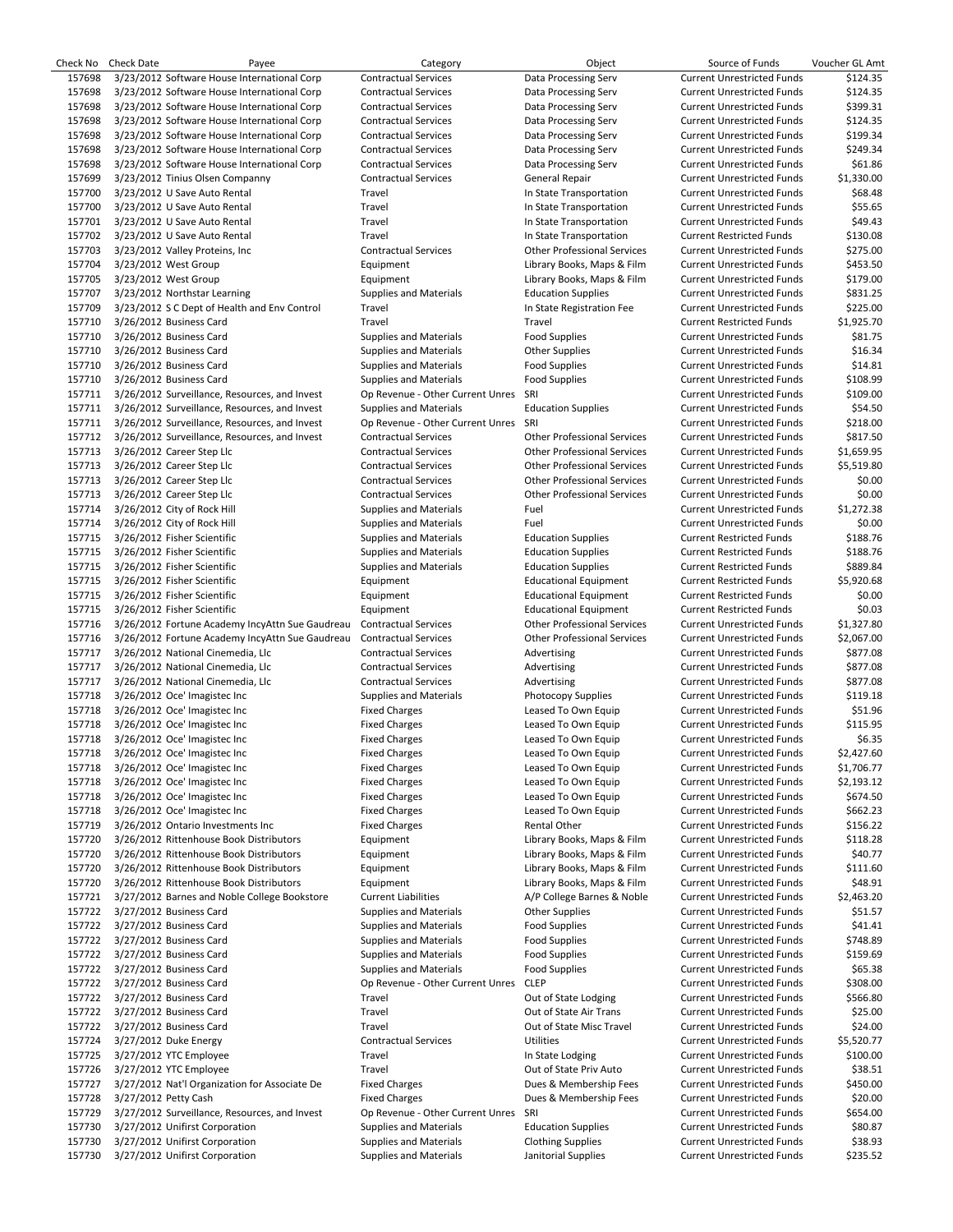| Check No | <b>Check Date</b>    | Payee                                           | Category                         | Object                             | Source of Funds                   | Voucher GL Amt |
|----------|----------------------|-------------------------------------------------|----------------------------------|------------------------------------|-----------------------------------|----------------|
| 157698   |                      | 3/23/2012 Software House International Corp     | <b>Contractual Services</b>      | Data Processing Serv               | <b>Current Unrestricted Funds</b> | \$124.35       |
| 157698   |                      | 3/23/2012 Software House International Corp     | <b>Contractual Services</b>      | Data Processing Serv               | <b>Current Unrestricted Funds</b> | \$124.35       |
| 157698   |                      | 3/23/2012 Software House International Corp     | <b>Contractual Services</b>      | Data Processing Serv               | <b>Current Unrestricted Funds</b> | \$399.31       |
| 157698   |                      | 3/23/2012 Software House International Corp     | <b>Contractual Services</b>      | Data Processing Serv               | <b>Current Unrestricted Funds</b> | \$124.35       |
| 157698   |                      | 3/23/2012 Software House International Corp     | <b>Contractual Services</b>      | Data Processing Serv               | <b>Current Unrestricted Funds</b> | \$199.34       |
|          |                      |                                                 |                                  |                                    |                                   |                |
| 157698   |                      | 3/23/2012 Software House International Corp     | <b>Contractual Services</b>      | Data Processing Serv               | <b>Current Unrestricted Funds</b> | \$249.34       |
| 157698   |                      | 3/23/2012 Software House International Corp     | <b>Contractual Services</b>      | Data Processing Serv               | <b>Current Unrestricted Funds</b> | \$61.86        |
| 157699   |                      | 3/23/2012 Tinius Olsen Companny                 | <b>Contractual Services</b>      | General Repair                     | <b>Current Unrestricted Funds</b> | \$1,330.00     |
| 157700   |                      | 3/23/2012 U Save Auto Rental                    | Travel                           | In State Transportation            | <b>Current Unrestricted Funds</b> | \$68.48        |
| 157700   |                      | 3/23/2012 U Save Auto Rental                    | Travel                           | In State Transportation            | <b>Current Unrestricted Funds</b> | \$55.65        |
| 157701   |                      | 3/23/2012 U Save Auto Rental                    | Travel                           | In State Transportation            | <b>Current Unrestricted Funds</b> | \$49.43        |
| 157702   |                      | 3/23/2012 U Save Auto Rental                    | Travel                           | In State Transportation            | <b>Current Restricted Funds</b>   | \$130.08       |
|          |                      |                                                 | <b>Contractual Services</b>      | <b>Other Professional Services</b> | <b>Current Unrestricted Funds</b> | \$275.00       |
| 157703   |                      | 3/23/2012 Valley Proteins, Inc.                 |                                  |                                    |                                   |                |
| 157704   |                      | 3/23/2012 West Group                            | Equipment                        | Library Books, Maps & Film         | <b>Current Unrestricted Funds</b> | \$453.50       |
| 157705   |                      | 3/23/2012 West Group                            | Equipment                        | Library Books, Maps & Film         | <b>Current Unrestricted Funds</b> | \$179.00       |
| 157707   |                      | 3/23/2012 Northstar Learning                    | <b>Supplies and Materials</b>    | <b>Education Supplies</b>          | <b>Current Unrestricted Funds</b> | \$831.25       |
| 157709   |                      | 3/23/2012 S C Dept of Health and Env Control    | Travel                           | In State Registration Fee          | <b>Current Unrestricted Funds</b> | \$225.00       |
| 157710   |                      | 3/26/2012 Business Card                         | Travel                           | Travel                             | <b>Current Restricted Funds</b>   | \$1,925.70     |
| 157710   |                      | 3/26/2012 Business Card                         | <b>Supplies and Materials</b>    | <b>Food Supplies</b>               | <b>Current Unrestricted Funds</b> | \$81.75        |
| 157710   |                      | 3/26/2012 Business Card                         | <b>Supplies and Materials</b>    | <b>Other Supplies</b>              | <b>Current Unrestricted Funds</b> | \$16.34        |
| 157710   |                      | 3/26/2012 Business Card                         | <b>Supplies and Materials</b>    | <b>Food Supplies</b>               | <b>Current Unrestricted Funds</b> | \$14.81        |
| 157710   |                      |                                                 |                                  |                                    | <b>Current Unrestricted Funds</b> | \$108.99       |
|          |                      | 3/26/2012 Business Card                         | <b>Supplies and Materials</b>    | <b>Food Supplies</b>               |                                   |                |
| 157711   |                      | 3/26/2012 Surveillance, Resources, and Invest   | Op Revenue - Other Current Unres | SRI                                | <b>Current Unrestricted Funds</b> | \$109.00       |
| 157711   |                      | 3/26/2012 Surveillance, Resources, and Invest   | <b>Supplies and Materials</b>    | <b>Education Supplies</b>          | <b>Current Unrestricted Funds</b> | \$54.50        |
| 157711   |                      | 3/26/2012 Surveillance, Resources, and Invest   | Op Revenue - Other Current Unres | SRI                                | <b>Current Unrestricted Funds</b> | \$218.00       |
| 157712   |                      | 3/26/2012 Surveillance, Resources, and Invest   | <b>Contractual Services</b>      | <b>Other Professional Services</b> | <b>Current Unrestricted Funds</b> | \$817.50       |
| 157713   |                      | 3/26/2012 Career Step Llc                       | <b>Contractual Services</b>      | <b>Other Professional Services</b> | <b>Current Unrestricted Funds</b> | \$1,659.95     |
| 157713   |                      | 3/26/2012 Career Step Llc                       | <b>Contractual Services</b>      | <b>Other Professional Services</b> | <b>Current Unrestricted Funds</b> | \$5,519.80     |
| 157713   |                      | 3/26/2012 Career Step Llc                       | <b>Contractual Services</b>      | <b>Other Professional Services</b> | <b>Current Unrestricted Funds</b> | \$0.00         |
| 157713   |                      | 3/26/2012 Career Step Llc                       | <b>Contractual Services</b>      | <b>Other Professional Services</b> | <b>Current Unrestricted Funds</b> | \$0.00         |
| 157714   |                      |                                                 |                                  |                                    |                                   |                |
|          |                      | 3/26/2012 City of Rock Hill                     | <b>Supplies and Materials</b>    | Fuel                               | <b>Current Unrestricted Funds</b> | \$1,272.38     |
| 157714   |                      | 3/26/2012 City of Rock Hill                     | Supplies and Materials           | Fuel                               | <b>Current Unrestricted Funds</b> | \$0.00         |
| 157715   |                      | 3/26/2012 Fisher Scientific                     | <b>Supplies and Materials</b>    | <b>Education Supplies</b>          | <b>Current Restricted Funds</b>   | \$188.76       |
| 157715   |                      | 3/26/2012 Fisher Scientific                     | <b>Supplies and Materials</b>    | <b>Education Supplies</b>          | <b>Current Restricted Funds</b>   | \$188.76       |
| 157715   |                      | 3/26/2012 Fisher Scientific                     | <b>Supplies and Materials</b>    | <b>Education Supplies</b>          | <b>Current Restricted Funds</b>   | \$889.84       |
| 157715   |                      | 3/26/2012 Fisher Scientific                     | Equipment                        | <b>Educational Equipment</b>       | <b>Current Restricted Funds</b>   | \$5,920.68     |
| 157715   |                      | 3/26/2012 Fisher Scientific                     | Equipment                        | <b>Educational Equipment</b>       | <b>Current Restricted Funds</b>   | \$0.00         |
| 157715   |                      | 3/26/2012 Fisher Scientific                     | Equipment                        | <b>Educational Equipment</b>       | <b>Current Restricted Funds</b>   | \$0.03         |
| 157716   |                      | 3/26/2012 Fortune Academy IncyAttn Sue Gaudreau | <b>Contractual Services</b>      | <b>Other Professional Services</b> | <b>Current Unrestricted Funds</b> | \$1,327.80     |
|          |                      |                                                 | <b>Contractual Services</b>      | <b>Other Professional Services</b> |                                   | \$2,067.00     |
| 157716   |                      | 3/26/2012 Fortune Academy IncyAttn Sue Gaudreau |                                  |                                    | <b>Current Unrestricted Funds</b> |                |
| 157717   |                      | 3/26/2012 National Cinemedia, Llc               | <b>Contractual Services</b>      | Advertising                        | <b>Current Unrestricted Funds</b> | \$877.08       |
| 157717   |                      | 3/26/2012 National Cinemedia, Llc               | <b>Contractual Services</b>      | Advertising                        | <b>Current Unrestricted Funds</b> | \$877.08       |
| 157717   |                      | 3/26/2012 National Cinemedia, Llc               | <b>Contractual Services</b>      | Advertising                        | <b>Current Unrestricted Funds</b> | \$877.08       |
| 157718   |                      | 3/26/2012 Oce' Imagistec Inc                    | <b>Supplies and Materials</b>    | Photocopy Supplies                 | <b>Current Unrestricted Funds</b> | \$119.18       |
| 157718   |                      | 3/26/2012 Oce' Imagistec Inc                    | <b>Fixed Charges</b>             | Leased To Own Equip                | <b>Current Unrestricted Funds</b> | \$51.96        |
| 157718   |                      | 3/26/2012 Oce' Imagistec Inc                    | <b>Fixed Charges</b>             | Leased To Own Equip                | <b>Current Unrestricted Funds</b> | \$115.95       |
| 157718   |                      | 3/26/2012 Oce' Imagistec Inc                    | <b>Fixed Charges</b>             | Leased To Own Equip                | <b>Current Unrestricted Funds</b> | \$6.35         |
| 157718   |                      | 3/26/2012 Oce' Imagistec Inc                    | <b>Fixed Charges</b>             | Leased To Own Equip                | <b>Current Unrestricted Funds</b> | \$2,427.60     |
|          |                      |                                                 |                                  |                                    |                                   |                |
| 157718   |                      | 3/26/2012 Oce' Imagistec Inc                    | <b>Fixed Charges</b>             | Leased To Own Equip                | <b>Current Unrestricted Funds</b> | \$1,706.77     |
| 157718   |                      | 3/26/2012 Oce' Imagistec Inc                    | <b>Fixed Charges</b>             | Leased To Own Equip                | <b>Current Unrestricted Funds</b> | \$2,193.12     |
| 157718   |                      | 3/26/2012 Oce' Imagistec Inc                    | <b>Fixed Charges</b>             | Leased To Own Equip                | <b>Current Unrestricted Funds</b> | \$674.50       |
| 157718   |                      | 3/26/2012 Oce' Imagistec Inc                    | <b>Fixed Charges</b>             | Leased To Own Equip                | <b>Current Unrestricted Funds</b> | \$662.23       |
| 157719   |                      | 3/26/2012 Ontario Investments Inc               | <b>Fixed Charges</b>             | Rental Other                       | <b>Current Unrestricted Funds</b> | \$156.22       |
| 157720   |                      | 3/26/2012 Rittenhouse Book Distributors         | Equipment                        | Library Books, Maps & Film         | <b>Current Unrestricted Funds</b> | \$118.28       |
| 157720   |                      | 3/26/2012 Rittenhouse Book Distributors         | Equipment                        | Library Books, Maps & Film         | <b>Current Unrestricted Funds</b> | \$40.77        |
| 157720   |                      | 3/26/2012 Rittenhouse Book Distributors         | Equipment                        | Library Books, Maps & Film         | <b>Current Unrestricted Funds</b> | \$111.60       |
| 157720   |                      | 3/26/2012 Rittenhouse Book Distributors         | Equipment                        | Library Books, Maps & Film         | <b>Current Unrestricted Funds</b> | \$48.91        |
|          |                      | 3/27/2012 Barnes and Noble College Bookstore    |                                  |                                    | <b>Current Unrestricted Funds</b> |                |
| 157721   |                      |                                                 | <b>Current Liabilities</b>       | A/P College Barnes & Noble         |                                   | \$2,463.20     |
| 157722   |                      | 3/27/2012 Business Card                         | <b>Supplies and Materials</b>    | <b>Other Supplies</b>              | <b>Current Unrestricted Funds</b> | \$51.57        |
| 157722   |                      | 3/27/2012 Business Card                         | <b>Supplies and Materials</b>    | <b>Food Supplies</b>               | <b>Current Unrestricted Funds</b> | \$41.41        |
| 157722   |                      | 3/27/2012 Business Card                         | <b>Supplies and Materials</b>    | <b>Food Supplies</b>               | <b>Current Unrestricted Funds</b> | \$748.89       |
| 157722   |                      | 3/27/2012 Business Card                         | <b>Supplies and Materials</b>    | <b>Food Supplies</b>               | <b>Current Unrestricted Funds</b> | \$159.69       |
| 157722   |                      | 3/27/2012 Business Card                         | <b>Supplies and Materials</b>    | <b>Food Supplies</b>               | <b>Current Unrestricted Funds</b> | \$65.38        |
| 157722   |                      | 3/27/2012 Business Card                         | Op Revenue - Other Current Unres | <b>CLEP</b>                        | <b>Current Unrestricted Funds</b> | \$308.00       |
| 157722   |                      | 3/27/2012 Business Card                         | Travel                           | Out of State Lodging               | <b>Current Unrestricted Funds</b> | \$566.80       |
| 157722   |                      | 3/27/2012 Business Card                         | Travel                           | Out of State Air Trans             | <b>Current Unrestricted Funds</b> | \$25.00        |
|          |                      |                                                 |                                  |                                    |                                   |                |
| 157722   |                      | 3/27/2012 Business Card                         | Travel                           | Out of State Misc Travel           | <b>Current Unrestricted Funds</b> | \$24.00        |
| 157724   |                      | 3/27/2012 Duke Energy                           | <b>Contractual Services</b>      | <b>Utilities</b>                   | <b>Current Unrestricted Funds</b> | \$5,520.77     |
| 157725   |                      | 3/27/2012 YTC Employee                          | Travel                           | In State Lodging                   | <b>Current Unrestricted Funds</b> | \$100.00       |
| 157726   |                      | 3/27/2012 YTC Employee                          | Travel                           | Out of State Priv Auto             | <b>Current Unrestricted Funds</b> | \$38.51        |
| 157727   |                      | 3/27/2012 Nat'l Organization for Associate De   | <b>Fixed Charges</b>             | Dues & Membership Fees             | <b>Current Unrestricted Funds</b> | \$450.00       |
| 157728   | 3/27/2012 Petty Cash |                                                 | <b>Fixed Charges</b>             | Dues & Membership Fees             | <b>Current Unrestricted Funds</b> | \$20.00        |
| 157729   |                      | 3/27/2012 Surveillance, Resources, and Invest   | Op Revenue - Other Current Unres | SRI                                | <b>Current Unrestricted Funds</b> | \$654.00       |
| 157730   |                      | 3/27/2012 Unifirst Corporation                  | <b>Supplies and Materials</b>    | <b>Education Supplies</b>          | <b>Current Unrestricted Funds</b> | \$80.87        |
| 157730   |                      | 3/27/2012 Unifirst Corporation                  | <b>Supplies and Materials</b>    | <b>Clothing Supplies</b>           | <b>Current Unrestricted Funds</b> | \$38.93        |
|          |                      |                                                 |                                  |                                    |                                   |                |
| 157730   |                      | 3/27/2012 Unifirst Corporation                  | <b>Supplies and Materials</b>    | Janitorial Supplies                | <b>Current Unrestricted Funds</b> | \$235.52       |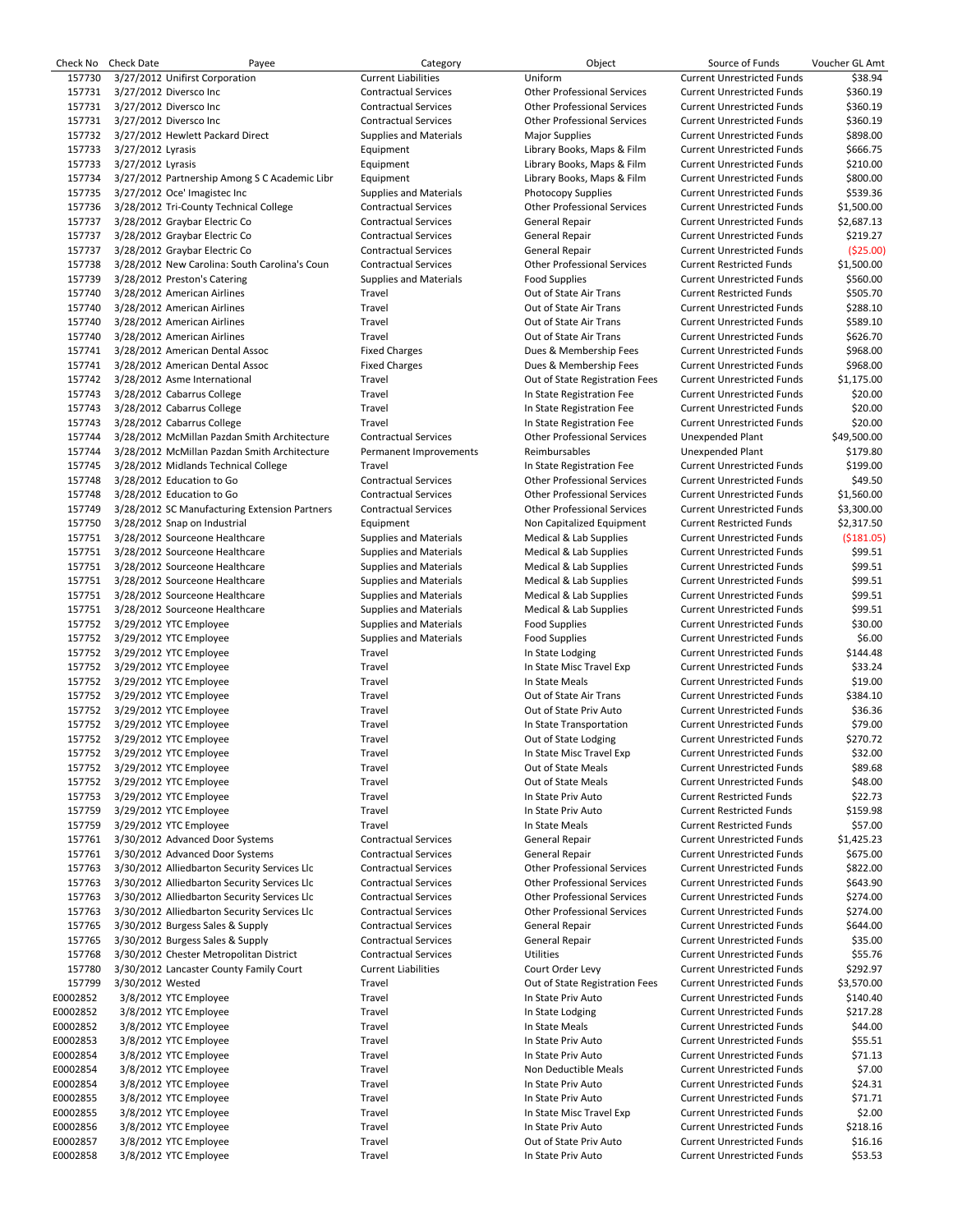| Check No | <b>Check Date</b> | Payee                                         | Category                      | Object                             | Source of Funds                   | Voucher GL Amt |
|----------|-------------------|-----------------------------------------------|-------------------------------|------------------------------------|-----------------------------------|----------------|
| 157730   |                   | 3/27/2012 Unifirst Corporation                | <b>Current Liabilities</b>    | Uniform                            | <b>Current Unrestricted Funds</b> | \$38.94        |
| 157731   |                   | 3/27/2012 Diversco Inc                        | <b>Contractual Services</b>   | <b>Other Professional Services</b> | <b>Current Unrestricted Funds</b> | \$360.19       |
| 157731   |                   | 3/27/2012 Diversco Inc                        | <b>Contractual Services</b>   | <b>Other Professional Services</b> | <b>Current Unrestricted Funds</b> | \$360.19       |
| 157731   |                   | 3/27/2012 Diversco Inc                        | <b>Contractual Services</b>   | <b>Other Professional Services</b> | <b>Current Unrestricted Funds</b> | \$360.19       |
| 157732   |                   | 3/27/2012 Hewlett Packard Direct              | <b>Supplies and Materials</b> | <b>Major Supplies</b>              | <b>Current Unrestricted Funds</b> | \$898.00       |
| 157733   | 3/27/2012 Lyrasis |                                               | Equipment                     | Library Books, Maps & Film         | <b>Current Unrestricted Funds</b> | \$666.75       |
| 157733   | 3/27/2012 Lyrasis |                                               | Equipment                     | Library Books, Maps & Film         | <b>Current Unrestricted Funds</b> | \$210.00       |
| 157734   |                   | 3/27/2012 Partnership Among S C Academic Libr | Equipment                     | Library Books, Maps & Film         | <b>Current Unrestricted Funds</b> | \$800.00       |
| 157735   |                   |                                               |                               |                                    |                                   | \$539.36       |
|          |                   | 3/27/2012 Oce' Imagistec Inc                  | <b>Supplies and Materials</b> | <b>Photocopy Supplies</b>          | <b>Current Unrestricted Funds</b> |                |
| 157736   |                   | 3/28/2012 Tri-County Technical College        | <b>Contractual Services</b>   | <b>Other Professional Services</b> | Current Unrestricted Funds        | \$1,500.00     |
| 157737   |                   | 3/28/2012 Graybar Electric Co                 | <b>Contractual Services</b>   | General Repair                     | <b>Current Unrestricted Funds</b> | \$2,687.13     |
| 157737   |                   | 3/28/2012 Graybar Electric Co                 | <b>Contractual Services</b>   | General Repair                     | <b>Current Unrestricted Funds</b> | \$219.27       |
| 157737   |                   | 3/28/2012 Graybar Electric Co                 | <b>Contractual Services</b>   | General Repair                     | <b>Current Unrestricted Funds</b> | ( \$25.00]     |
| 157738   |                   | 3/28/2012 New Carolina: South Carolina's Coun | <b>Contractual Services</b>   | <b>Other Professional Services</b> | <b>Current Restricted Funds</b>   | \$1,500.00     |
| 157739   |                   | 3/28/2012 Preston's Catering                  | <b>Supplies and Materials</b> | <b>Food Supplies</b>               | <b>Current Unrestricted Funds</b> | \$560.00       |
| 157740   |                   | 3/28/2012 American Airlines                   | Travel                        | Out of State Air Trans             | <b>Current Restricted Funds</b>   | \$505.70       |
| 157740   |                   | 3/28/2012 American Airlines                   | Travel                        | Out of State Air Trans             | <b>Current Unrestricted Funds</b> | \$288.10       |
| 157740   |                   | 3/28/2012 American Airlines                   | Travel                        | Out of State Air Trans             | <b>Current Unrestricted Funds</b> | \$589.10       |
| 157740   |                   | 3/28/2012 American Airlines                   | Travel                        | Out of State Air Trans             | <b>Current Unrestricted Funds</b> | \$626.70       |
| 157741   |                   | 3/28/2012 American Dental Assoc               | <b>Fixed Charges</b>          | Dues & Membership Fees             | <b>Current Unrestricted Funds</b> | \$968.00       |
| 157741   |                   | 3/28/2012 American Dental Assoc               | <b>Fixed Charges</b>          | Dues & Membership Fees             | <b>Current Unrestricted Funds</b> | \$968.00       |
| 157742   |                   |                                               |                               |                                    |                                   |                |
|          |                   | 3/28/2012 Asme International                  | Travel                        | Out of State Registration Fees     | <b>Current Unrestricted Funds</b> | \$1,175.00     |
| 157743   |                   | 3/28/2012 Cabarrus College                    | Travel                        | In State Registration Fee          | <b>Current Unrestricted Funds</b> | \$20.00        |
| 157743   |                   | 3/28/2012 Cabarrus College                    | Travel                        | In State Registration Fee          | <b>Current Unrestricted Funds</b> | \$20.00        |
| 157743   |                   | 3/28/2012 Cabarrus College                    | Travel                        | In State Registration Fee          | <b>Current Unrestricted Funds</b> | \$20.00        |
| 157744   |                   | 3/28/2012 McMillan Pazdan Smith Architecture  | <b>Contractual Services</b>   | <b>Other Professional Services</b> | <b>Unexpended Plant</b>           | \$49,500.00    |
| 157744   |                   | 3/28/2012 McMillan Pazdan Smith Architecture  | Permanent Improvements        | Reimbursables                      | Unexpended Plant                  | \$179.80       |
| 157745   |                   | 3/28/2012 Midlands Technical College          | Travel                        | In State Registration Fee          | <b>Current Unrestricted Funds</b> | \$199.00       |
| 157748   |                   | 3/28/2012 Education to Go                     | <b>Contractual Services</b>   | <b>Other Professional Services</b> | <b>Current Unrestricted Funds</b> | \$49.50        |
| 157748   |                   | 3/28/2012 Education to Go                     | <b>Contractual Services</b>   | <b>Other Professional Services</b> | <b>Current Unrestricted Funds</b> | \$1,560.00     |
| 157749   |                   | 3/28/2012 SC Manufacturing Extension Partners | <b>Contractual Services</b>   | <b>Other Professional Services</b> | <b>Current Unrestricted Funds</b> | \$3,300.00     |
|          |                   |                                               |                               |                                    |                                   |                |
| 157750   |                   | 3/28/2012 Snap on Industrial                  | Equipment                     | Non Capitalized Equipment          | <b>Current Restricted Funds</b>   | \$2,317.50     |
| 157751   |                   | 3/28/2012 Sourceone Healthcare                | <b>Supplies and Materials</b> | Medical & Lab Supplies             | <b>Current Unrestricted Funds</b> | (5181.05)      |
| 157751   |                   | 3/28/2012 Sourceone Healthcare                | <b>Supplies and Materials</b> | Medical & Lab Supplies             | <b>Current Unrestricted Funds</b> | \$99.51        |
| 157751   |                   | 3/28/2012 Sourceone Healthcare                | <b>Supplies and Materials</b> | Medical & Lab Supplies             | <b>Current Unrestricted Funds</b> | \$99.51        |
| 157751   |                   | 3/28/2012 Sourceone Healthcare                | <b>Supplies and Materials</b> | Medical & Lab Supplies             | <b>Current Unrestricted Funds</b> | \$99.51        |
| 157751   |                   | 3/28/2012 Sourceone Healthcare                | <b>Supplies and Materials</b> | Medical & Lab Supplies             | <b>Current Unrestricted Funds</b> | \$99.51        |
| 157751   |                   | 3/28/2012 Sourceone Healthcare                | <b>Supplies and Materials</b> | Medical & Lab Supplies             | <b>Current Unrestricted Funds</b> | \$99.51        |
| 157752   |                   | 3/29/2012 YTC Employee                        | <b>Supplies and Materials</b> | <b>Food Supplies</b>               | <b>Current Unrestricted Funds</b> | \$30.00        |
| 157752   |                   | 3/29/2012 YTC Employee                        | <b>Supplies and Materials</b> | <b>Food Supplies</b>               | <b>Current Unrestricted Funds</b> | \$6.00         |
| 157752   |                   | 3/29/2012 YTC Employee                        | Travel                        | In State Lodging                   | <b>Current Unrestricted Funds</b> | \$144.48       |
| 157752   |                   | 3/29/2012 YTC Employee                        | Travel                        | In State Misc Travel Exp           | <b>Current Unrestricted Funds</b> | \$33.24        |
|          |                   |                                               |                               |                                    |                                   |                |
| 157752   |                   | 3/29/2012 YTC Employee                        | Travel                        | In State Meals                     | <b>Current Unrestricted Funds</b> | \$19.00        |
| 157752   |                   | 3/29/2012 YTC Employee                        | Travel                        | Out of State Air Trans             | <b>Current Unrestricted Funds</b> | \$384.10       |
| 157752   |                   | 3/29/2012 YTC Employee                        | Travel                        | Out of State Priv Auto             | <b>Current Unrestricted Funds</b> | \$36.36        |
| 157752   |                   | 3/29/2012 YTC Employee                        | Travel                        | In State Transportation            | <b>Current Unrestricted Funds</b> | \$79.00        |
| 157752   |                   | 3/29/2012 YTC Employee                        | Travel                        | Out of State Lodging               | <b>Current Unrestricted Funds</b> | \$270.72       |
| 157752   |                   | 3/29/2012 YTC Employee                        | Travel                        | In State Misc Travel Exp           | Current Unrestricted Funds        | \$32.00        |
| 157752   |                   | 3/29/2012 YTC Employee                        | Travel                        | Out of State Meals                 | <b>Current Unrestricted Funds</b> | \$89.68        |
| 157752   |                   | 3/29/2012 YTC Employee                        | Travel                        | Out of State Meals                 | <b>Current Unrestricted Funds</b> | \$48.00        |
| 157753   |                   | 3/29/2012 YTC Employee                        | Travel                        | In State Priv Auto                 | <b>Current Restricted Funds</b>   | \$22.73        |
| 157759   |                   | 3/29/2012 YTC Employee                        | Travel                        | In State Priv Auto                 | <b>Current Restricted Funds</b>   | \$159.98       |
| 157759   |                   | 3/29/2012 YTC Employee                        | Travel                        | In State Meals                     |                                   |                |
|          |                   |                                               |                               |                                    | <b>Current Restricted Funds</b>   | \$57.00        |
| 157761   |                   | 3/30/2012 Advanced Door Systems               | <b>Contractual Services</b>   | General Repair                     | <b>Current Unrestricted Funds</b> | \$1,425.23     |
| 157761   |                   | 3/30/2012 Advanced Door Systems               | <b>Contractual Services</b>   | General Repair                     | <b>Current Unrestricted Funds</b> | \$675.00       |
| 157763   |                   | 3/30/2012 Alliedbarton Security Services Llc  | <b>Contractual Services</b>   | <b>Other Professional Services</b> | <b>Current Unrestricted Funds</b> | \$822.00       |
| 157763   |                   | 3/30/2012 Alliedbarton Security Services Llc  | <b>Contractual Services</b>   | <b>Other Professional Services</b> | <b>Current Unrestricted Funds</b> | \$643.90       |
| 157763   |                   | 3/30/2012 Alliedbarton Security Services Llc  | <b>Contractual Services</b>   | <b>Other Professional Services</b> | <b>Current Unrestricted Funds</b> | \$274.00       |
| 157763   |                   | 3/30/2012 Alliedbarton Security Services Llc  | <b>Contractual Services</b>   | <b>Other Professional Services</b> | <b>Current Unrestricted Funds</b> | \$274.00       |
| 157765   |                   | 3/30/2012 Burgess Sales & Supply              | <b>Contractual Services</b>   | General Repair                     | <b>Current Unrestricted Funds</b> | \$644.00       |
| 157765   |                   | 3/30/2012 Burgess Sales & Supply              | <b>Contractual Services</b>   | General Repair                     | <b>Current Unrestricted Funds</b> | \$35.00        |
| 157768   |                   | 3/30/2012 Chester Metropolitan District       | <b>Contractual Services</b>   | <b>Utilities</b>                   | <b>Current Unrestricted Funds</b> | \$55.76        |
| 157780   |                   | 3/30/2012 Lancaster County Family Court       | <b>Current Liabilities</b>    | Court Order Levy                   | <b>Current Unrestricted Funds</b> | \$292.97       |
|          |                   |                                               |                               |                                    |                                   |                |
| 157799   | 3/30/2012 Wested  |                                               | Travel                        | Out of State Registration Fees     | <b>Current Unrestricted Funds</b> | \$3,570.00     |
| E0002852 |                   | 3/8/2012 YTC Employee                         | Travel                        | In State Priv Auto                 | <b>Current Unrestricted Funds</b> | \$140.40       |
| E0002852 |                   | 3/8/2012 YTC Employee                         | Travel                        | In State Lodging                   | <b>Current Unrestricted Funds</b> | \$217.28       |
| E0002852 |                   | 3/8/2012 YTC Employee                         | Travel                        | In State Meals                     | <b>Current Unrestricted Funds</b> | \$44.00        |
| E0002853 |                   | 3/8/2012 YTC Employee                         | Travel                        | In State Priv Auto                 | <b>Current Unrestricted Funds</b> | \$55.51        |
| E0002854 |                   | 3/8/2012 YTC Employee                         | Travel                        | In State Priv Auto                 | <b>Current Unrestricted Funds</b> | \$71.13        |
| E0002854 |                   | 3/8/2012 YTC Employee                         | Travel                        | Non Deductible Meals               | <b>Current Unrestricted Funds</b> | \$7.00         |
| E0002854 |                   | 3/8/2012 YTC Employee                         | Travel                        | In State Priv Auto                 | <b>Current Unrestricted Funds</b> | \$24.31        |
| E0002855 |                   | 3/8/2012 YTC Employee                         | Travel                        | In State Priv Auto                 | <b>Current Unrestricted Funds</b> | \$71.71        |
| E0002855 |                   | 3/8/2012 YTC Employee                         | Travel                        | In State Misc Travel Exp           | <b>Current Unrestricted Funds</b> | \$2.00         |
| E0002856 |                   | 3/8/2012 YTC Employee                         | Travel                        | In State Priv Auto                 | <b>Current Unrestricted Funds</b> | \$218.16       |
| E0002857 |                   | 3/8/2012 YTC Employee                         | Travel                        | Out of State Priv Auto             | <b>Current Unrestricted Funds</b> | \$16.16        |
|          |                   |                                               |                               |                                    |                                   |                |
| E0002858 |                   | 3/8/2012 YTC Employee                         | Travel                        | In State Priv Auto                 | <b>Current Unrestricted Funds</b> | \$53.53        |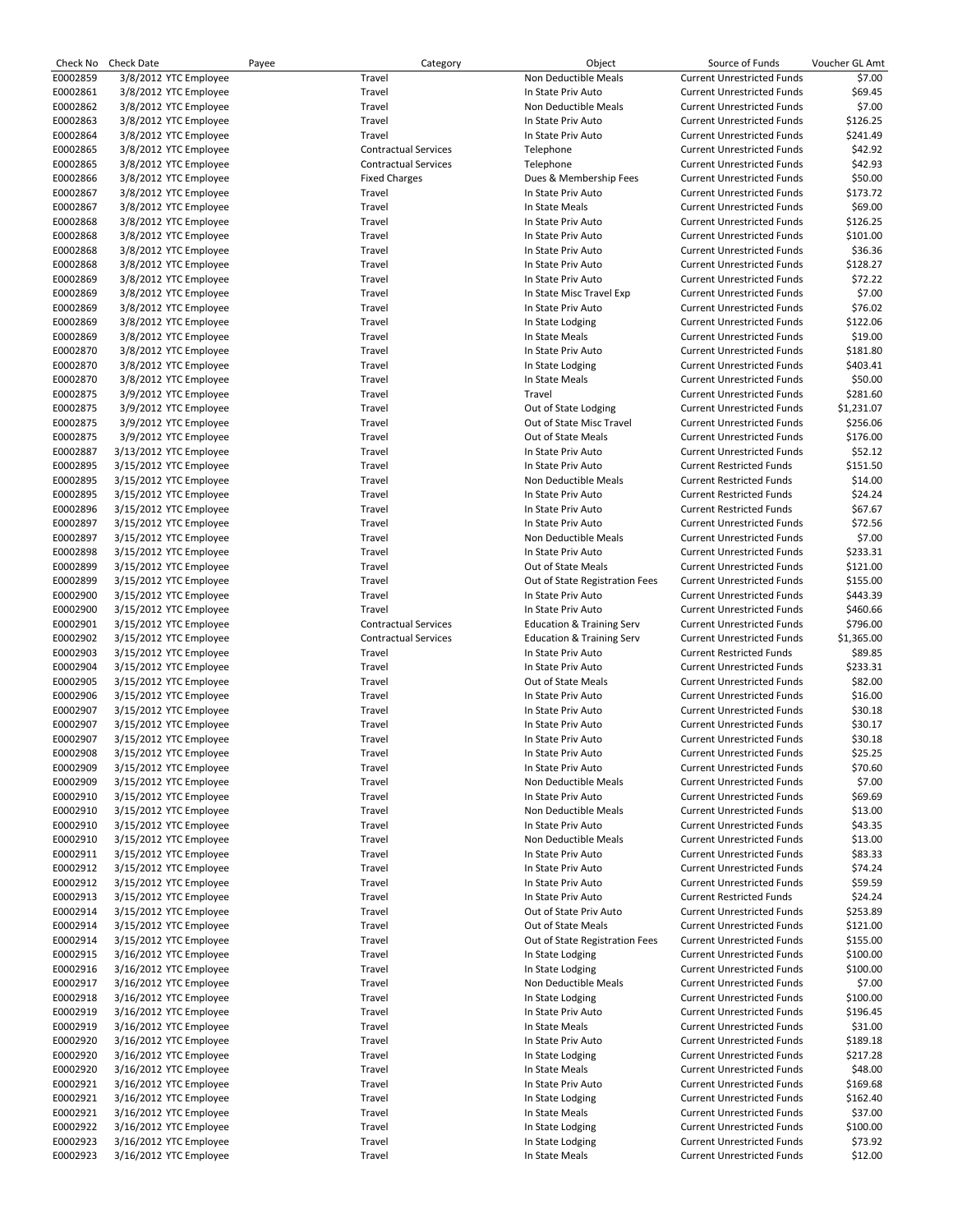| Check No | <b>Check Date</b> | Payee                  | Category                    | Object                               | Source of Funds                   | Voucher GL Amt |
|----------|-------------------|------------------------|-----------------------------|--------------------------------------|-----------------------------------|----------------|
| E0002859 |                   | 3/8/2012 YTC Employee  | Travel                      | Non Deductible Meals                 | <b>Current Unrestricted Funds</b> | \$7.00         |
| E0002861 |                   | 3/8/2012 YTC Employee  | Travel                      | In State Priv Auto                   | <b>Current Unrestricted Funds</b> | \$69.45        |
| E0002862 |                   | 3/8/2012 YTC Employee  | Travel                      | Non Deductible Meals                 | <b>Current Unrestricted Funds</b> | \$7.00         |
| E0002863 |                   | 3/8/2012 YTC Employee  | Travel                      | In State Priv Auto                   | <b>Current Unrestricted Funds</b> | \$126.25       |
| E0002864 |                   | 3/8/2012 YTC Employee  | Travel                      | In State Priv Auto                   | <b>Current Unrestricted Funds</b> | \$241.49       |
|          |                   |                        |                             |                                      |                                   |                |
| E0002865 |                   | 3/8/2012 YTC Employee  | <b>Contractual Services</b> | Telephone                            | <b>Current Unrestricted Funds</b> | \$42.92        |
| E0002865 |                   | 3/8/2012 YTC Employee  | <b>Contractual Services</b> | Telephone                            | <b>Current Unrestricted Funds</b> | \$42.93        |
| E0002866 |                   | 3/8/2012 YTC Employee  | <b>Fixed Charges</b>        | Dues & Membership Fees               | <b>Current Unrestricted Funds</b> | \$50.00        |
| E0002867 |                   | 3/8/2012 YTC Employee  | Travel                      | In State Priv Auto                   | <b>Current Unrestricted Funds</b> | \$173.72       |
| E0002867 |                   | 3/8/2012 YTC Employee  | Travel                      | In State Meals                       | <b>Current Unrestricted Funds</b> | \$69.00        |
| E0002868 |                   | 3/8/2012 YTC Employee  | Travel                      | In State Priv Auto                   | <b>Current Unrestricted Funds</b> | \$126.25       |
| E0002868 |                   | 3/8/2012 YTC Employee  | Travel                      | In State Priv Auto                   | <b>Current Unrestricted Funds</b> | \$101.00       |
|          |                   |                        | Travel                      |                                      |                                   |                |
| E0002868 |                   | 3/8/2012 YTC Employee  |                             | In State Priv Auto                   | <b>Current Unrestricted Funds</b> | \$36.36        |
| E0002868 |                   | 3/8/2012 YTC Employee  | Travel                      | In State Priv Auto                   | <b>Current Unrestricted Funds</b> | \$128.27       |
| E0002869 |                   | 3/8/2012 YTC Employee  | Travel                      | In State Priv Auto                   | <b>Current Unrestricted Funds</b> | \$72.22        |
| E0002869 |                   | 3/8/2012 YTC Employee  | Travel                      | In State Misc Travel Exp             | <b>Current Unrestricted Funds</b> | \$7.00         |
| E0002869 |                   | 3/8/2012 YTC Employee  | Travel                      | In State Priv Auto                   | <b>Current Unrestricted Funds</b> | \$76.02        |
| E0002869 |                   | 3/8/2012 YTC Employee  | Travel                      | In State Lodging                     | <b>Current Unrestricted Funds</b> | \$122.06       |
| E0002869 |                   | 3/8/2012 YTC Employee  | Travel                      | In State Meals                       | <b>Current Unrestricted Funds</b> | \$19.00        |
| E0002870 |                   | 3/8/2012 YTC Employee  | Travel                      | In State Priv Auto                   | <b>Current Unrestricted Funds</b> | \$181.80       |
| E0002870 |                   | 3/8/2012 YTC Employee  | Travel                      | In State Lodging                     | <b>Current Unrestricted Funds</b> | \$403.41       |
|          |                   |                        |                             |                                      |                                   |                |
| E0002870 |                   | 3/8/2012 YTC Employee  | Travel                      | In State Meals                       | <b>Current Unrestricted Funds</b> | \$50.00        |
| E0002875 |                   | 3/9/2012 YTC Employee  | Travel                      | Travel                               | <b>Current Unrestricted Funds</b> | \$281.60       |
| E0002875 |                   | 3/9/2012 YTC Employee  | Travel                      | Out of State Lodging                 | <b>Current Unrestricted Funds</b> | \$1,231.07     |
| E0002875 |                   | 3/9/2012 YTC Employee  | Travel                      | Out of State Misc Travel             | <b>Current Unrestricted Funds</b> | \$256.06       |
| E0002875 |                   | 3/9/2012 YTC Employee  | Travel                      | Out of State Meals                   | <b>Current Unrestricted Funds</b> | \$176.00       |
| E0002887 |                   | 3/13/2012 YTC Employee | Travel                      | In State Priv Auto                   | <b>Current Unrestricted Funds</b> | \$52.12        |
| E0002895 |                   | 3/15/2012 YTC Employee | Travel                      | In State Priv Auto                   | <b>Current Restricted Funds</b>   | \$151.50       |
| E0002895 |                   | 3/15/2012 YTC Employee | Travel                      | Non Deductible Meals                 | <b>Current Restricted Funds</b>   | \$14.00        |
| E0002895 |                   | 3/15/2012 YTC Employee | Travel                      | In State Priv Auto                   | <b>Current Restricted Funds</b>   | \$24.24        |
|          |                   |                        |                             |                                      |                                   | \$67.67        |
| E0002896 |                   | 3/15/2012 YTC Employee | Travel                      | In State Priv Auto                   | <b>Current Restricted Funds</b>   |                |
| E0002897 |                   | 3/15/2012 YTC Employee | Travel                      | In State Priv Auto                   | <b>Current Unrestricted Funds</b> | \$72.56        |
| E0002897 |                   | 3/15/2012 YTC Employee | Travel                      | Non Deductible Meals                 | <b>Current Unrestricted Funds</b> | \$7.00         |
| E0002898 |                   | 3/15/2012 YTC Employee | Travel                      | In State Priv Auto                   | <b>Current Unrestricted Funds</b> | \$233.31       |
| E0002899 |                   | 3/15/2012 YTC Employee | Travel                      | Out of State Meals                   | <b>Current Unrestricted Funds</b> | \$121.00       |
| E0002899 |                   | 3/15/2012 YTC Employee | Travel                      | Out of State Registration Fees       | <b>Current Unrestricted Funds</b> | \$155.00       |
| E0002900 |                   | 3/15/2012 YTC Employee | Travel                      | In State Priv Auto                   | <b>Current Unrestricted Funds</b> | \$443.39       |
| E0002900 |                   | 3/15/2012 YTC Employee | Travel                      | In State Priv Auto                   | <b>Current Unrestricted Funds</b> | \$460.66       |
| E0002901 |                   | 3/15/2012 YTC Employee | <b>Contractual Services</b> | <b>Education &amp; Training Serv</b> | <b>Current Unrestricted Funds</b> | \$796.00       |
|          |                   |                        |                             |                                      |                                   |                |
| E0002902 |                   | 3/15/2012 YTC Employee | <b>Contractual Services</b> | <b>Education &amp; Training Serv</b> | <b>Current Unrestricted Funds</b> | \$1,365.00     |
| E0002903 |                   | 3/15/2012 YTC Employee | Travel                      | In State Priv Auto                   | <b>Current Restricted Funds</b>   | \$89.85        |
| E0002904 |                   | 3/15/2012 YTC Employee | Travel                      | In State Priv Auto                   | <b>Current Unrestricted Funds</b> | \$233.31       |
| E0002905 |                   | 3/15/2012 YTC Employee | Travel                      | Out of State Meals                   | <b>Current Unrestricted Funds</b> | \$82.00        |
| E0002906 |                   | 3/15/2012 YTC Employee | Travel                      | In State Priv Auto                   | <b>Current Unrestricted Funds</b> | \$16.00        |
| E0002907 |                   | 3/15/2012 YTC Employee | Travel                      | In State Priv Auto                   | <b>Current Unrestricted Funds</b> | \$30.18        |
| E0002907 |                   | 3/15/2012 YTC Employee | Travel                      | In State Priv Auto                   | <b>Current Unrestricted Funds</b> | \$30.17        |
| E0002907 |                   | 3/15/2012 YTC Employee | Travel                      | In State Priv Auto                   | <b>Current Unrestricted Funds</b> | \$30.18        |
| E0002908 |                   | 3/15/2012 YTC Employee | Travel                      | In State Priv Auto                   | <b>Current Unrestricted Funds</b> | \$25.25        |
|          |                   |                        |                             |                                      |                                   |                |
| E0002909 |                   | 3/15/2012 YTC Employee | Travel                      | In State Priv Auto                   | <b>Current Unrestricted Funds</b> | \$70.60        |
| E0002909 |                   | 3/15/2012 YTC Employee | Travel                      | Non Deductible Meals                 | <b>Current Unrestricted Funds</b> | \$7.00         |
| E0002910 |                   | 3/15/2012 YTC Employee | Travel                      | In State Priv Auto                   | <b>Current Unrestricted Funds</b> | \$69.69        |
| E0002910 |                   | 3/15/2012 YTC Employee | Travel                      | Non Deductible Meals                 | <b>Current Unrestricted Funds</b> | \$13.00        |
| E0002910 |                   | 3/15/2012 YTC Employee | Travel                      | In State Priv Auto                   | <b>Current Unrestricted Funds</b> | \$43.35        |
| E0002910 |                   | 3/15/2012 YTC Employee | Travel                      | Non Deductible Meals                 | <b>Current Unrestricted Funds</b> | \$13.00        |
| E0002911 |                   | 3/15/2012 YTC Employee | Travel                      | In State Priv Auto                   | <b>Current Unrestricted Funds</b> | \$83.33        |
| E0002912 |                   | 3/15/2012 YTC Employee | Travel                      | In State Priv Auto                   | <b>Current Unrestricted Funds</b> | \$74.24        |
| E0002912 |                   |                        |                             | In State Priv Auto                   | <b>Current Unrestricted Funds</b> |                |
| E0002913 |                   | 3/15/2012 YTC Employee | Travel                      |                                      |                                   | \$59.59        |
|          |                   | 3/15/2012 YTC Employee | Travel                      | In State Priv Auto                   | <b>Current Restricted Funds</b>   | \$24.24        |
| E0002914 |                   | 3/15/2012 YTC Employee | Travel                      | Out of State Priv Auto               | <b>Current Unrestricted Funds</b> | \$253.89       |
| E0002914 |                   | 3/15/2012 YTC Employee | Travel                      | Out of State Meals                   | <b>Current Unrestricted Funds</b> | \$121.00       |
| E0002914 |                   | 3/15/2012 YTC Employee | Travel                      | Out of State Registration Fees       | <b>Current Unrestricted Funds</b> | \$155.00       |
| E0002915 |                   | 3/16/2012 YTC Employee | Travel                      | In State Lodging                     | <b>Current Unrestricted Funds</b> | \$100.00       |
| E0002916 |                   | 3/16/2012 YTC Employee | Travel                      | In State Lodging                     | <b>Current Unrestricted Funds</b> | \$100.00       |
| E0002917 |                   | 3/16/2012 YTC Employee | Travel                      | Non Deductible Meals                 | <b>Current Unrestricted Funds</b> | \$7.00         |
| E0002918 |                   | 3/16/2012 YTC Employee | Travel                      | In State Lodging                     | <b>Current Unrestricted Funds</b> | \$100.00       |
| E0002919 |                   | 3/16/2012 YTC Employee | Travel                      | In State Priv Auto                   | <b>Current Unrestricted Funds</b> | \$196.45       |
|          |                   |                        |                             |                                      |                                   |                |
| E0002919 |                   | 3/16/2012 YTC Employee | Travel                      | In State Meals                       | <b>Current Unrestricted Funds</b> | \$31.00        |
| E0002920 |                   | 3/16/2012 YTC Employee | Travel                      | In State Priv Auto                   | <b>Current Unrestricted Funds</b> | \$189.18       |
| E0002920 |                   | 3/16/2012 YTC Employee | Travel                      | In State Lodging                     | <b>Current Unrestricted Funds</b> | \$217.28       |
| E0002920 |                   | 3/16/2012 YTC Employee | Travel                      | In State Meals                       | <b>Current Unrestricted Funds</b> | \$48.00        |
| E0002921 |                   | 3/16/2012 YTC Employee | Travel                      | In State Priv Auto                   | <b>Current Unrestricted Funds</b> | \$169.68       |
| E0002921 |                   | 3/16/2012 YTC Employee | Travel                      | In State Lodging                     | <b>Current Unrestricted Funds</b> | \$162.40       |
| E0002921 |                   | 3/16/2012 YTC Employee | Travel                      | In State Meals                       | <b>Current Unrestricted Funds</b> | \$37.00        |
| E0002922 |                   | 3/16/2012 YTC Employee | Travel                      | In State Lodging                     | <b>Current Unrestricted Funds</b> | \$100.00       |
| E0002923 |                   | 3/16/2012 YTC Employee | Travel                      | In State Lodging                     | <b>Current Unrestricted Funds</b> | \$73.92        |
|          |                   |                        |                             |                                      |                                   |                |
| E0002923 |                   | 3/16/2012 YTC Employee | Travel                      | In State Meals                       | <b>Current Unrestricted Funds</b> | \$12.00        |